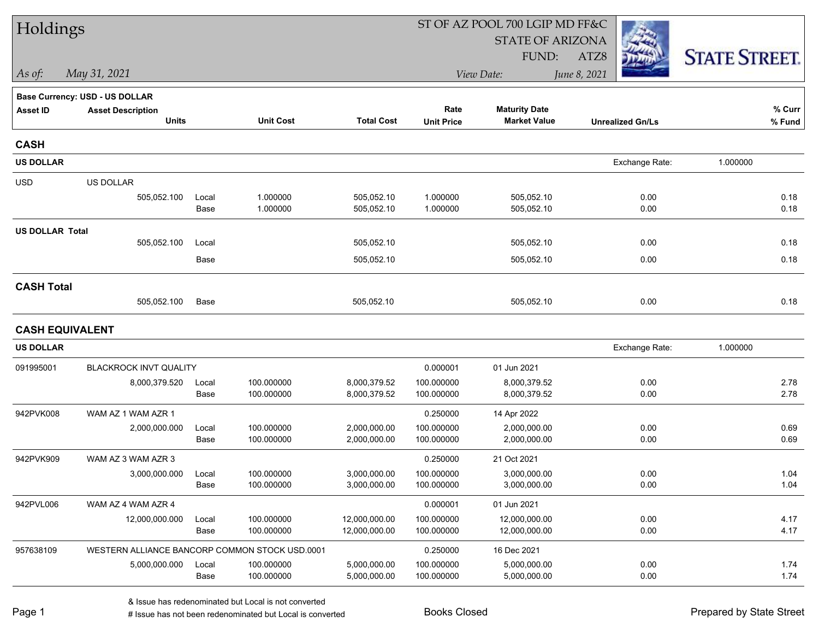| Holdings               |                                                |               |                          |                                | ST OF AZ POOL 700 LGIP MD FF&C |                                |                         |                      |
|------------------------|------------------------------------------------|---------------|--------------------------|--------------------------------|--------------------------------|--------------------------------|-------------------------|----------------------|
|                        |                                                |               |                          |                                |                                | <b>STATE OF ARIZONA</b>        |                         |                      |
|                        |                                                |               |                          |                                |                                | FUND:                          | ATZ8                    | <b>STATE STREET.</b> |
| As of:                 | May 31, 2021                                   |               |                          |                                |                                | View Date:                     | June 8, 2021            |                      |
|                        | Base Currency: USD - US DOLLAR                 |               |                          |                                |                                |                                |                         |                      |
| <b>Asset ID</b>        | <b>Asset Description</b>                       |               |                          |                                | Rate                           | <b>Maturity Date</b>           |                         | % Curr               |
|                        | <b>Units</b>                                   |               | <b>Unit Cost</b>         | <b>Total Cost</b>              | <b>Unit Price</b>              | <b>Market Value</b>            | <b>Unrealized Gn/Ls</b> | % Fund               |
| <b>CASH</b>            |                                                |               |                          |                                |                                |                                |                         |                      |
| <b>US DOLLAR</b>       |                                                |               |                          |                                |                                |                                | Exchange Rate:          | 1.000000             |
| <b>USD</b>             | US DOLLAR                                      |               |                          |                                |                                |                                |                         |                      |
|                        | 505,052.100                                    | Local         | 1.000000                 | 505,052.10                     | 1.000000                       | 505,052.10                     | 0.00                    | 0.18                 |
|                        |                                                | Base          | 1.000000                 | 505,052.10                     | 1.000000                       | 505,052.10                     | 0.00                    | 0.18                 |
| <b>US DOLLAR Total</b> |                                                |               |                          |                                |                                |                                |                         |                      |
|                        | 505,052.100                                    | Local         |                          | 505,052.10                     |                                | 505,052.10                     | 0.00                    | 0.18                 |
|                        |                                                | Base          |                          | 505,052.10                     |                                | 505,052.10                     | 0.00                    | 0.18                 |
| <b>CASH Total</b>      |                                                |               |                          |                                |                                |                                |                         |                      |
|                        | 505,052.100                                    | Base          |                          | 505,052.10                     |                                | 505,052.10                     | 0.00                    | 0.18                 |
| <b>CASH EQUIVALENT</b> |                                                |               |                          |                                |                                |                                |                         |                      |
| <b>US DOLLAR</b>       |                                                |               |                          |                                |                                |                                | Exchange Rate:          | 1.000000             |
| 091995001              | BLACKROCK INVT QUALITY                         |               |                          |                                | 0.000001                       | 01 Jun 2021                    |                         |                      |
|                        | 8,000,379.520                                  | Local         | 100.000000               | 8,000,379.52                   | 100.000000                     | 8,000,379.52                   | 0.00                    | 2.78                 |
|                        |                                                | Base          | 100.000000               | 8,000,379.52                   | 100.000000                     | 8,000,379.52                   | 0.00                    | 2.78                 |
| 942PVK008              | WAM AZ 1 WAM AZR 1                             |               |                          |                                | 0.250000                       | 14 Apr 2022                    |                         |                      |
|                        | 2,000,000.000                                  | Local         | 100.000000               | 2,000,000.00                   | 100.000000                     | 2,000,000.00                   | 0.00                    | 0.69                 |
|                        |                                                | Base          | 100.000000               | 2,000,000.00                   | 100.000000                     | 2,000,000.00                   | 0.00                    | 0.69                 |
| 942PVK909              | WAM AZ 3 WAM AZR 3                             |               |                          |                                | 0.250000                       | 21 Oct 2021                    |                         |                      |
|                        | 3,000,000.000                                  | Local         | 100.000000               | 3,000,000.00                   | 100.000000                     | 3,000,000.00                   | 0.00                    | 1.04                 |
|                        |                                                | Base          | 100.000000               | 3,000,000.00                   | 100.000000                     | 3,000,000.00                   | 0.00                    | 1.04                 |
| 942PVL006              | WAM AZ 4 WAM AZR 4                             |               |                          |                                | 0.000001                       | 01 Jun 2021                    |                         |                      |
|                        | 12,000,000.000                                 | Local<br>Base | 100.000000<br>100.000000 | 12,000,000.00<br>12,000,000.00 | 100.000000<br>100.000000       | 12,000,000.00<br>12,000,000.00 | 0.00<br>0.00            | 4.17<br>4.17         |
|                        |                                                |               |                          |                                |                                |                                |                         |                      |
| 957638109              | WESTERN ALLIANCE BANCORP COMMON STOCK USD.0001 |               |                          |                                | 0.250000                       | 16 Dec 2021                    |                         |                      |
|                        | 5,000,000.000                                  | Local<br>Base | 100.000000<br>100.000000 | 5,000,000.00<br>5,000,000.00   | 100.000000<br>100.000000       | 5,000,000.00<br>5,000,000.00   | 0.00<br>0.00            | 1.74<br>1.74         |
|                        |                                                |               |                          |                                |                                |                                |                         |                      |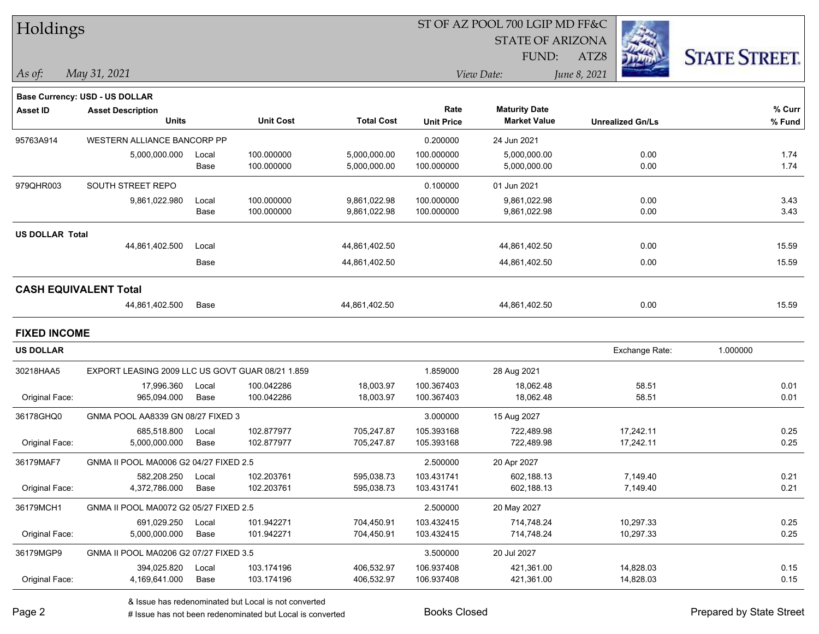| Holdings               |                                                  |       |                  |                   |                   | ST OF AZ POOL 700 LGIP MD FF&C |                         |                      |
|------------------------|--------------------------------------------------|-------|------------------|-------------------|-------------------|--------------------------------|-------------------------|----------------------|
|                        |                                                  |       |                  |                   |                   | <b>STATE OF ARIZONA</b>        |                         |                      |
|                        |                                                  |       |                  |                   |                   | FUND:                          | ATZ8                    | <b>STATE STREET.</b> |
| As of:                 | May 31, 2021                                     |       |                  |                   |                   | View Date:                     | June 8, 2021            |                      |
|                        | <b>Base Currency: USD - US DOLLAR</b>            |       |                  |                   |                   |                                |                         |                      |
| <b>Asset ID</b>        | <b>Asset Description</b>                         |       |                  |                   | Rate              | <b>Maturity Date</b>           |                         | % Curr               |
|                        | <b>Units</b>                                     |       | <b>Unit Cost</b> | <b>Total Cost</b> | <b>Unit Price</b> | <b>Market Value</b>            | <b>Unrealized Gn/Ls</b> | $%$ Fund             |
| 95763A914              | WESTERN ALLIANCE BANCORP PP                      |       |                  |                   | 0.200000          | 24 Jun 2021                    |                         |                      |
|                        | 5,000,000.000                                    | Local | 100.000000       | 5,000,000.00      | 100.000000        | 5,000,000.00                   | 0.00                    | 1.74                 |
|                        |                                                  | Base  | 100.000000       | 5,000,000.00      | 100.000000        | 5,000,000.00                   | 0.00                    | 1.74                 |
| 979QHR003              | SOUTH STREET REPO                                |       |                  |                   | 0.100000          | 01 Jun 2021                    |                         |                      |
|                        | 9,861,022.980                                    | Local | 100.000000       | 9,861,022.98      | 100.000000        | 9,861,022.98                   | 0.00                    | 3.43                 |
|                        |                                                  | Base  | 100.000000       | 9,861,022.98      | 100.000000        | 9,861,022.98                   | 0.00                    | 3.43                 |
| <b>US DOLLAR Total</b> |                                                  |       |                  |                   |                   |                                |                         |                      |
|                        | 44,861,402.500                                   | Local |                  | 44,861,402.50     |                   | 44,861,402.50                  | 0.00                    | 15.59                |
|                        |                                                  | Base  |                  | 44,861,402.50     |                   | 44,861,402.50                  | 0.00                    | 15.59                |
|                        | <b>CASH EQUIVALENT Total</b>                     |       |                  |                   |                   |                                |                         |                      |
|                        | 44,861,402.500                                   | Base  |                  | 44,861,402.50     |                   | 44,861,402.50                  | 0.00                    | 15.59                |
| <b>FIXED INCOME</b>    |                                                  |       |                  |                   |                   |                                |                         |                      |
| <b>US DOLLAR</b>       |                                                  |       |                  |                   |                   |                                | Exchange Rate:          | 1.000000             |
| 30218HAA5              | EXPORT LEASING 2009 LLC US GOVT GUAR 08/21 1.859 |       |                  |                   | 1.859000          | 28 Aug 2021                    |                         |                      |
|                        | 17,996.360                                       | Local | 100.042286       | 18,003.97         | 100.367403        | 18,062.48                      | 58.51                   | 0.01                 |
| Original Face:         | 965,094.000                                      | Base  | 100.042286       | 18,003.97         | 100.367403        | 18,062.48                      | 58.51                   | 0.01                 |
| 36178GHQ0              | GNMA POOL AA8339 GN 08/27 FIXED 3                |       |                  |                   | 3.000000          | 15 Aug 2027                    |                         |                      |
|                        | 685,518.800                                      | Local | 102.877977       | 705,247.87        | 105.393168        | 722.489.98                     | 17,242.11               | 0.25                 |
| Original Face:         | 5,000,000.000                                    | Base  | 102.877977       | 705,247.87        | 105.393168        | 722,489.98                     | 17,242.11               | 0.25                 |
| 36179MAF7              | GNMA II POOL MA0006 G2 04/27 FIXED 2.5           |       |                  |                   | 2.500000          | 20 Apr 2027                    |                         |                      |
|                        | 582,208.250                                      | Local | 102.203761       | 595,038.73        | 103.431741        | 602,188.13                     | 7,149.40                | 0.21                 |
| Original Face:         | 4,372,786.000                                    | Base  | 102.203761       | 595,038.73        | 103.431741        | 602,188.13                     | 7,149.40                | 0.21                 |
| 36179MCH1              | GNMA II POOL MA0072 G2 05/27 FIXED 2.5           |       |                  |                   | 2.500000          | 20 May 2027                    |                         |                      |
|                        | 691,029.250                                      | Local | 101.942271       | 704,450.91        | 103.432415        | 714,748.24                     | 10,297.33               | 0.25                 |
| Original Face:         | 5,000,000.000                                    | Base  | 101.942271       | 704,450.91        | 103.432415        | 714,748.24                     | 10,297.33               | 0.25                 |
| 36179MGP9              | GNMA II POOL MA0206 G2 07/27 FIXED 3.5           |       |                  |                   | 3.500000          | 20 Jul 2027                    |                         |                      |
|                        | 394,025.820                                      | Local | 103.174196       | 406,532.97        | 106.937408        | 421,361.00                     | 14,828.03               | 0.15                 |
| Original Face:         | 4,169,641.000                                    | Base  | 103.174196       | 406,532.97        | 106.937408        | 421,361.00                     | 14,828.03               | 0.15                 |

& Issue has redenominated but Local is not converted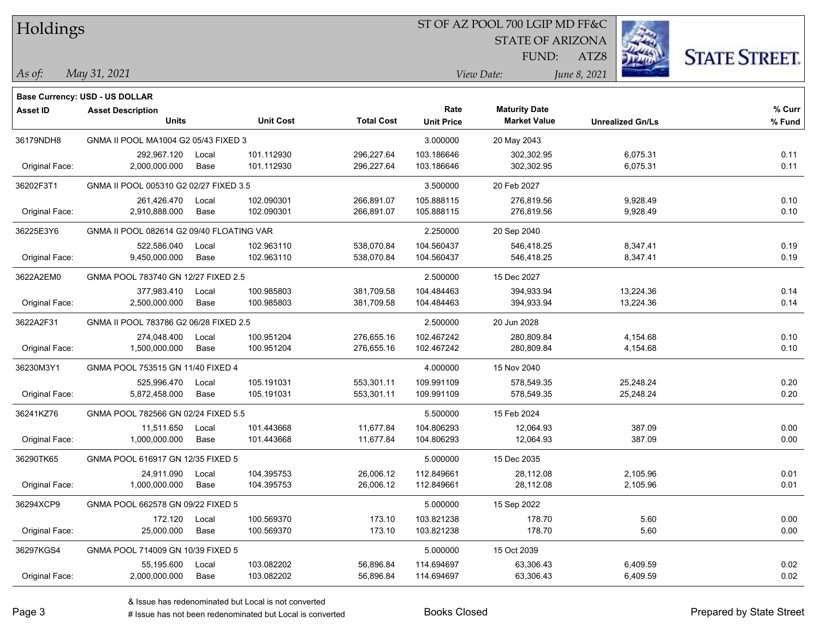|  | <b>Holdings</b> |
|--|-----------------|
|  |                 |

### ST OF AZ POOL 700 LGIP MD FF&C

STATE OF ARIZONA

FUND:



ATZ8

| As ot: | $\sim$<br>$202^{-}$<br>Mau | Date:<br>$.1$ $e^{\gamma}$<br> | $\mu$ ne |
|--------|----------------------------|--------------------------------|----------|
|        |                            |                                |          |

|                 | Base Currency: USD - US DOLLAR            |       |                  |                   |                   |                      |                         |        |
|-----------------|-------------------------------------------|-------|------------------|-------------------|-------------------|----------------------|-------------------------|--------|
| <b>Asset ID</b> | <b>Asset Description</b>                  |       |                  |                   | Rate              | <b>Maturity Date</b> |                         | % Curr |
|                 | <b>Units</b>                              |       | <b>Unit Cost</b> | <b>Total Cost</b> | <b>Unit Price</b> | <b>Market Value</b>  | <b>Unrealized Gn/Ls</b> | % Fund |
| 36179NDH8       | GNMA II POOL MA1004 G2 05/43 FIXED 3      |       |                  |                   | 3.000000          | 20 May 2043          |                         |        |
|                 | 292,967.120                               | Local | 101.112930       | 296,227.64        | 103.186646        | 302,302.95           | 6,075.31                | 0.11   |
| Original Face:  | 2,000,000.000                             | Base  | 101.112930       | 296,227.64        | 103.186646        | 302,302.95           | 6,075.31                | 0.11   |
| 36202F3T1       | GNMA II POOL 005310 G2 02/27 FIXED 3.5    |       |                  |                   | 3.500000          | 20 Feb 2027          |                         |        |
|                 | 261,426.470                               | Local | 102.090301       | 266,891.07        | 105.888115        | 276,819.56           | 9,928.49                | 0.10   |
| Original Face:  | 2,910,888.000                             | Base  | 102.090301       | 266,891.07        | 105.888115        | 276,819.56           | 9,928.49                | 0.10   |
| 36225E3Y6       | GNMA II POOL 082614 G2 09/40 FLOATING VAR |       |                  |                   | 2.250000          | 20 Sep 2040          |                         |        |
|                 | 522,586.040                               | Local | 102.963110       | 538,070.84        | 104.560437        | 546,418.25           | 8,347.41                | 0.19   |
| Original Face:  | 9,450,000.000                             | Base  | 102.963110       | 538,070.84        | 104.560437        | 546,418.25           | 8,347.41                | 0.19   |
| 3622A2EM0       | GNMA POOL 783740 GN 12/27 FIXED 2.5       |       |                  |                   | 2.500000          | 15 Dec 2027          |                         |        |
|                 | 377,983.410                               | Local | 100.985803       | 381,709.58        | 104.484463        | 394,933.94           | 13,224.36               | 0.14   |
| Original Face:  | 2,500,000.000                             | Base  | 100.985803       | 381,709.58        | 104.484463        | 394,933.94           | 13,224.36               | 0.14   |
| 3622A2F31       | GNMA II POOL 783786 G2 06/28 FIXED 2.5    |       |                  | 2.500000          | 20 Jun 2028       |                      |                         |        |
|                 | 274,048.400                               | Local | 100.951204       | 276,655.16        | 102.467242        | 280,809.84           | 4,154.68                | 0.10   |
| Original Face:  | 1,500,000.000                             | Base  | 100.951204       | 276,655.16        | 102.467242        | 280,809.84           | 4,154.68                | 0.10   |
| 36230M3Y1       | GNMA POOL 753515 GN 11/40 FIXED 4         |       |                  |                   | 4.000000          | 15 Nov 2040          |                         |        |
|                 | 525,996.470                               | Local | 105.191031       | 553,301.11        | 109.991109        | 578,549.35           | 25,248.24               | 0.20   |
| Original Face:  | 5,872,458.000                             | Base  | 105.191031       | 553,301.11        | 109.991109        | 578,549.35           | 25,248.24               | 0.20   |
| 36241KZ76       | GNMA POOL 782566 GN 02/24 FIXED 5.5       |       |                  |                   | 5.500000          | 15 Feb 2024          |                         |        |
|                 | 11,511.650                                | Local | 101.443668       | 11,677.84         | 104.806293        | 12,064.93            | 387.09                  | 0.00   |
| Original Face:  | 1,000,000.000                             | Base  | 101.443668       | 11,677.84         | 104.806293        | 12,064.93            | 387.09                  | 0.00   |
| 36290TK65       | GNMA POOL 616917 GN 12/35 FIXED 5         |       |                  |                   | 5.000000          | 15 Dec 2035          |                         |        |
|                 | 24,911.090                                | Local | 104.395753       | 26,006.12         | 112.849661        | 28,112.08            | 2,105.96                | 0.01   |
| Original Face:  | 1,000,000.000                             | Base  | 104.395753       | 26,006.12         | 112.849661        | 28,112.08            | 2,105.96                | 0.01   |
| 36294XCP9       | GNMA POOL 662578 GN 09/22 FIXED 5         |       |                  |                   | 5.000000          | 15 Sep 2022          |                         |        |
|                 | 172.120                                   | Local | 100.569370       | 173.10            | 103.821238        | 178.70               | 5.60                    | 0.00   |
| Original Face:  | 25,000.000                                | Base  | 100.569370       | 173.10            | 103.821238        | 178.70               | 5.60                    | 0.00   |
| 36297KGS4       | GNMA POOL 714009 GN 10/39 FIXED 5         |       |                  |                   | 5.000000          | 15 Oct 2039          |                         |        |
|                 | 55,195.600                                | Local | 103.082202       | 56,896.84         | 114.694697        | 63,306.43            | 6,409.59                | 0.02   |
| Original Face:  | 2,000,000.000                             | Base  | 103.082202       | 56,896.84         | 114.694697        | 63,306.43            | 6,409.59                | 0.02   |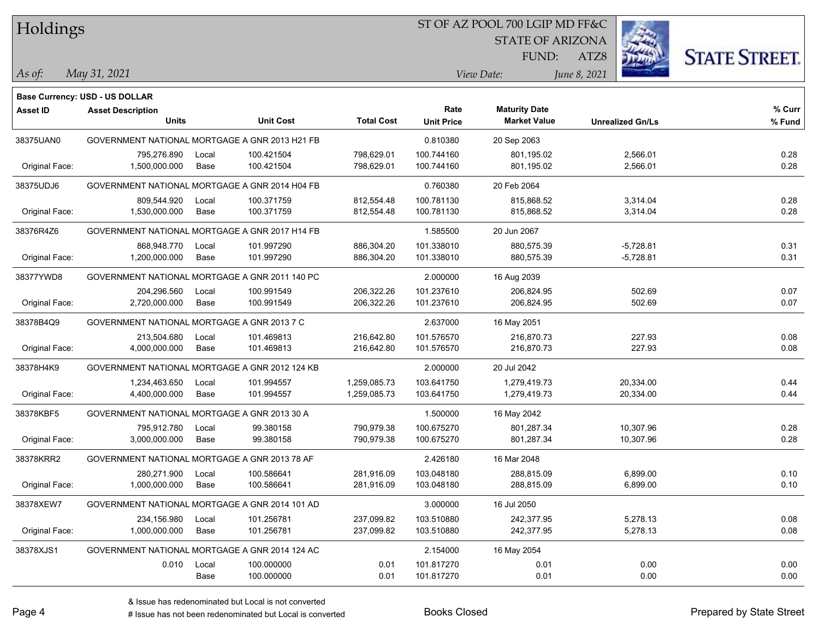### ST OF AZ POOL 700 LGIP MD FF&C

STATE OF ARIZONA

FUND:



*May 31, 2021 As of: View Date: June 8, 2021*

ATZ8

|                | Base Currency: USD - US DOLLAR                 |       |                  |                   |                   |                      |                         |        |
|----------------|------------------------------------------------|-------|------------------|-------------------|-------------------|----------------------|-------------------------|--------|
| Asset ID       | <b>Asset Description</b>                       |       |                  |                   | Rate              | <b>Maturity Date</b> |                         | % Curr |
|                | <b>Units</b>                                   |       | <b>Unit Cost</b> | <b>Total Cost</b> | <b>Unit Price</b> | <b>Market Value</b>  | <b>Unrealized Gn/Ls</b> | % Fund |
| 38375UAN0      | GOVERNMENT NATIONAL MORTGAGE A GNR 2013 H21 FB |       |                  |                   | 0.810380          | 20 Sep 2063          |                         |        |
|                | 795,276.890                                    | Local | 100.421504       | 798,629.01        | 100.744160        | 801,195.02           | 2,566.01                | 0.28   |
| Original Face: | 1,500,000.000                                  | Base  | 100.421504       | 798,629.01        | 100.744160        | 801,195.02           | 2,566.01                | 0.28   |
| 38375UDJ6      | GOVERNMENT NATIONAL MORTGAGE A GNR 2014 H04 FB |       |                  |                   | 0.760380          | 20 Feb 2064          |                         |        |
|                | 809,544.920                                    | Local | 100.371759       | 812,554.48        | 100.781130        | 815,868.52           | 3,314.04                | 0.28   |
| Original Face: | 1,530,000.000                                  | Base  | 100.371759       | 812,554.48        | 100.781130        | 815,868.52           | 3,314.04                | 0.28   |
| 38376R4Z6      | GOVERNMENT NATIONAL MORTGAGE A GNR 2017 H14 FB |       |                  |                   | 1.585500          | 20 Jun 2067          |                         |        |
|                | 868,948.770                                    | Local | 101.997290       | 886,304.20        | 101.338010        | 880,575.39           | $-5,728.81$             | 0.31   |
| Original Face: | 1,200,000.000                                  | Base  | 101.997290       | 886,304.20        | 101.338010        | 880,575.39           | $-5,728.81$             | 0.31   |
| 38377YWD8      | GOVERNMENT NATIONAL MORTGAGE A GNR 2011 140 PC |       |                  |                   | 2.000000          | 16 Aug 2039          |                         |        |
|                | 204,296.560                                    | Local | 100.991549       | 206,322.26        | 101.237610        | 206,824.95           | 502.69                  | 0.07   |
| Original Face: | 2,720,000.000                                  | Base  | 100.991549       | 206,322.26        | 101.237610        | 206,824.95           | 502.69                  | 0.07   |
| 38378B4Q9      | GOVERNMENT NATIONAL MORTGAGE A GNR 2013 7 C    |       |                  |                   | 2.637000          | 16 May 2051          |                         |        |
|                | 213,504.680                                    | Local | 101.469813       | 216,642.80        | 101.576570        | 216,870.73           | 227.93                  | 0.08   |
| Original Face: | 4,000,000.000                                  | Base  | 101.469813       | 216,642.80        | 101.576570        | 216,870.73           | 227.93                  | 0.08   |
| 38378H4K9      | GOVERNMENT NATIONAL MORTGAGE A GNR 2012 124 KB |       |                  |                   | 2.000000          | 20 Jul 2042          |                         |        |
|                | 1,234,463.650                                  | Local | 101.994557       | 1,259,085.73      | 103.641750        | 1,279,419.73         | 20,334.00               | 0.44   |
| Original Face: | 4,400,000.000                                  | Base  | 101.994557       | 1,259,085.73      | 103.641750        | 1,279,419.73         | 20,334.00               | 0.44   |
| 38378KBF5      | GOVERNMENT NATIONAL MORTGAGE A GNR 2013 30 A   |       |                  |                   | 1.500000          | 16 May 2042          |                         |        |
|                | 795,912.780                                    | Local | 99.380158        | 790,979.38        | 100.675270        | 801,287.34           | 10,307.96               | 0.28   |
| Original Face: | 3,000,000.000                                  | Base  | 99.380158        | 790,979.38        | 100.675270        | 801,287.34           | 10,307.96               | 0.28   |
| 38378KRR2      | GOVERNMENT NATIONAL MORTGAGE A GNR 2013 78 AF  |       |                  |                   | 2.426180          | 16 Mar 2048          |                         |        |
|                | 280,271.900                                    | Local | 100.586641       | 281,916.09        | 103.048180        | 288,815.09           | 6,899.00                | 0.10   |
| Original Face: | 1,000,000.000                                  | Base  | 100.586641       | 281,916.09        | 103.048180        | 288,815.09           | 6,899.00                | 0.10   |
| 38378XEW7      | GOVERNMENT NATIONAL MORTGAGE A GNR 2014 101 AD |       |                  |                   | 3.000000          | 16 Jul 2050          |                         |        |
|                | 234,156.980                                    | Local | 101.256781       | 237,099.82        | 103.510880        | 242,377.95           | 5,278.13                | 0.08   |
| Original Face: | 1,000,000.000                                  | Base  | 101.256781       | 237,099.82        | 103.510880        | 242,377.95           | 5,278.13                | 0.08   |
| 38378XJS1      | GOVERNMENT NATIONAL MORTGAGE A GNR 2014 124 AC |       |                  |                   | 2.154000          | 16 May 2054          |                         |        |
|                | 0.010                                          | Local | 100.000000       | 0.01              | 101.817270        | 0.01                 | 0.00                    | 0.00   |
|                |                                                | Base  | 100.000000       | 0.01              | 101.817270        | 0.01                 | 0.00                    | 0.00   |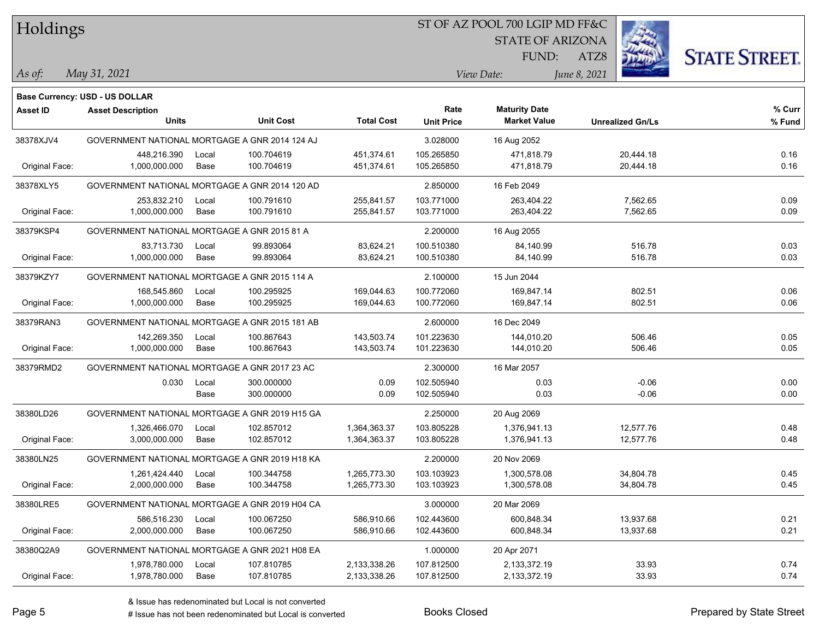### ST OF AZ POOL 700 LGIP MD FF&C

STATE OF ARIZONA

FUND:



*May 31, 2021 As of: View Date: June 8, 2021*

ATZ8

|                 | <b>Base Currency: USD - US DOLLAR</b>          |       |                  |                   |                   |                      |                         |        |
|-----------------|------------------------------------------------|-------|------------------|-------------------|-------------------|----------------------|-------------------------|--------|
| <b>Asset ID</b> | <b>Asset Description</b>                       |       |                  |                   | Rate              | <b>Maturity Date</b> |                         | % Curr |
|                 | <b>Units</b>                                   |       | <b>Unit Cost</b> | <b>Total Cost</b> | <b>Unit Price</b> | <b>Market Value</b>  | <b>Unrealized Gn/Ls</b> | % Fund |
| 38378XJV4       | GOVERNMENT NATIONAL MORTGAGE A GNR 2014 124 AJ |       |                  |                   | 3.028000          | 16 Aug 2052          |                         |        |
|                 | 448,216.390                                    | Local | 100.704619       | 451,374.61        | 105.265850        | 471,818.79           | 20,444.18               | 0.16   |
| Original Face:  | 1,000,000.000                                  | Base  | 100.704619       | 451,374.61        | 105.265850        | 471,818.79           | 20,444.18               | 0.16   |
| 38378XLY5       | GOVERNMENT NATIONAL MORTGAGE A GNR 2014 120 AD |       |                  |                   | 2.850000          | 16 Feb 2049          |                         |        |
|                 | 253,832.210                                    | Local | 100.791610       | 255,841.57        | 103.771000        | 263,404.22           | 7,562.65                | 0.09   |
| Original Face:  | 1,000,000.000                                  | Base  | 100.791610       | 255,841.57        | 103.771000        | 263,404.22           | 7,562.65                | 0.09   |
| 38379KSP4       | GOVERNMENT NATIONAL MORTGAGE A GNR 2015 81 A   |       |                  |                   | 2.200000          | 16 Aug 2055          |                         |        |
|                 | 83,713.730                                     | Local | 99.893064        | 83,624.21         | 100.510380        | 84,140.99            | 516.78                  | 0.03   |
| Original Face:  | 1,000,000.000                                  | Base  | 99.893064        | 83,624.21         | 100.510380        | 84,140.99            | 516.78                  | 0.03   |
| 38379KZY7       | GOVERNMENT NATIONAL MORTGAGE A GNR 2015 114 A  |       |                  |                   | 2.100000          | 15 Jun 2044          |                         |        |
|                 | 168,545.860                                    | Local | 100.295925       | 169,044.63        | 100.772060        | 169,847.14           | 802.51                  | 0.06   |
| Original Face:  | 1,000,000.000                                  | Base  | 100.295925       | 169,044.63        | 100.772060        | 169,847.14           | 802.51                  | 0.06   |
| 38379RAN3       | GOVERNMENT NATIONAL MORTGAGE A GNR 2015 181 AB |       |                  |                   | 2.600000          | 16 Dec 2049          |                         |        |
|                 | 142,269.350                                    | Local | 100.867643       | 143,503.74        | 101.223630        | 144,010.20           | 506.46                  | 0.05   |
| Original Face:  | 1,000,000.000                                  | Base  | 100.867643       | 143,503.74        | 101.223630        | 144,010.20           | 506.46                  | 0.05   |
| 38379RMD2       | GOVERNMENT NATIONAL MORTGAGE A GNR 2017 23 AC  |       |                  |                   | 2.300000          | 16 Mar 2057          |                         |        |
|                 | 0.030                                          | Local | 300.000000       | 0.09              | 102.505940        | 0.03                 | $-0.06$                 | 0.00   |
|                 |                                                | Base  | 300.000000       | 0.09              | 102.505940        | 0.03                 | $-0.06$                 | 0.00   |
| 38380LD26       | GOVERNMENT NATIONAL MORTGAGE A GNR 2019 H15 GA |       |                  |                   | 2.250000          | 20 Aug 2069          |                         |        |
|                 | 1,326,466.070                                  | Local | 102.857012       | 1,364,363.37      | 103.805228        | 1,376,941.13         | 12,577.76               | 0.48   |
| Original Face:  | 3,000,000.000                                  | Base  | 102.857012       | 1,364,363.37      | 103.805228        | 1,376,941.13         | 12,577.76               | 0.48   |
| 38380LN25       | GOVERNMENT NATIONAL MORTGAGE A GNR 2019 H18 KA |       |                  |                   | 2.200000          | 20 Nov 2069          |                         |        |
|                 | 1,261,424.440                                  | Local | 100.344758       | 1,265,773.30      | 103.103923        | 1,300,578.08         | 34,804.78               | 0.45   |
| Original Face:  | 2,000,000.000                                  | Base  | 100.344758       | 1,265,773.30      | 103.103923        | 1,300,578.08         | 34,804.78               | 0.45   |
| 38380LRE5       | GOVERNMENT NATIONAL MORTGAGE A GNR 2019 H04 CA |       |                  |                   | 3.000000          | 20 Mar 2069          |                         |        |
|                 | 586,516.230                                    | Local | 100.067250       | 586,910.66        | 102.443600        | 600,848.34           | 13,937.68               | 0.21   |
| Original Face:  | 2,000,000.000                                  | Base  | 100.067250       | 586,910.66        | 102.443600        | 600,848.34           | 13,937.68               | 0.21   |
| 38380Q2A9       | GOVERNMENT NATIONAL MORTGAGE A GNR 2021 H08 EA |       |                  |                   | 1.000000          | 20 Apr 2071          |                         |        |
|                 | 1,978,780.000                                  | Local | 107.810785       | 2,133,338.26      | 107.812500        | 2,133,372.19         | 33.93                   | 0.74   |
| Original Face:  | 1,978,780.000                                  | Base  | 107.810785       | 2,133,338.26      | 107.812500        | 2,133,372.19         | 33.93                   | 0.74   |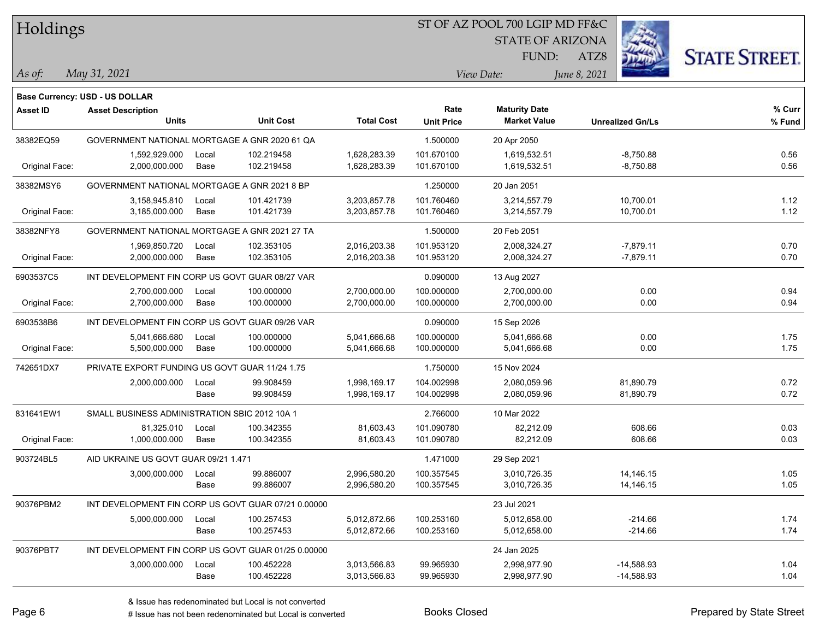### ST OF AZ POOL 700 LGIP MD FF&C

STATE OF ARIZONA

FUND:



*May 31, 2021 As of: View Date: June 8, 2021*

**Base Currency: USD - US DOLLAR**

ATZ8

| Asset ID       | <b>Asset Description</b>                            |       |                  |                   | Rate              | <b>Maturity Date</b> |                         | % Curr |
|----------------|-----------------------------------------------------|-------|------------------|-------------------|-------------------|----------------------|-------------------------|--------|
|                | <b>Units</b>                                        |       | <b>Unit Cost</b> | <b>Total Cost</b> | <b>Unit Price</b> | <b>Market Value</b>  | <b>Unrealized Gn/Ls</b> | % Fund |
| 38382EQ59      | GOVERNMENT NATIONAL MORTGAGE A GNR 2020 61 QA       |       |                  |                   | 1.500000          | 20 Apr 2050          |                         |        |
|                | 1,592,929.000                                       | Local | 102.219458       | 1,628,283.39      | 101.670100        | 1,619,532.51         | $-8,750.88$             | 0.56   |
| Original Face: | 2,000,000.000                                       | Base  | 102.219458       | 1,628,283.39      | 101.670100        | 1,619,532.51         | $-8,750.88$             | 0.56   |
| 38382MSY6      | GOVERNMENT NATIONAL MORTGAGE A GNR 2021 8 BP        |       |                  |                   | 1.250000          | 20 Jan 2051          |                         |        |
|                | 3,158,945.810                                       | Local | 101.421739       | 3,203,857.78      | 101.760460        | 3,214,557.79         | 10,700.01               | 1.12   |
| Original Face: | 3,185,000.000                                       | Base  | 101.421739       | 3,203,857.78      | 101.760460        | 3,214,557.79         | 10,700.01               | 1.12   |
| 38382NFY8      | GOVERNMENT NATIONAL MORTGAGE A GNR 2021 27 TA       |       |                  |                   | 1.500000          | 20 Feb 2051          |                         |        |
|                | 1,969,850.720                                       | Local | 102.353105       | 2,016,203.38      | 101.953120        | 2,008,324.27         | $-7,879.11$             | 0.70   |
| Original Face: | 2,000,000.000                                       | Base  | 102.353105       | 2,016,203.38      | 101.953120        | 2,008,324.27         | $-7,879.11$             | 0.70   |
| 6903537C5      | INT DEVELOPMENT FIN CORP US GOVT GUAR 08/27 VAR     |       |                  |                   | 0.090000          | 13 Aug 2027          |                         |        |
|                | 2,700,000.000                                       | Local | 100.000000       | 2,700,000.00      | 100.000000        | 2,700,000.00         | 0.00                    | 0.94   |
| Original Face: | 2,700,000.000                                       | Base  | 100.000000       | 2,700,000.00      | 100.000000        | 2,700,000.00         | 0.00                    | 0.94   |
| 6903538B6      | INT DEVELOPMENT FIN CORP US GOVT GUAR 09/26 VAR     |       |                  |                   | 0.090000          | 15 Sep 2026          |                         |        |
|                | 5,041,666.680                                       | Local | 100.000000       | 5,041,666.68      | 100.000000        | 5,041,666.68         | 0.00                    | 1.75   |
| Original Face: | 5,500,000.000                                       | Base  | 100.000000       | 5,041,666.68      | 100.000000        | 5,041,666.68         | 0.00                    | 1.75   |
| 742651DX7      | PRIVATE EXPORT FUNDING US GOVT GUAR 11/24 1.75      |       |                  |                   | 1.750000          | 15 Nov 2024          |                         |        |
|                | 2,000,000.000                                       | Local | 99.908459        | 1,998,169.17      | 104.002998        | 2,080,059.96         | 81,890.79               | 0.72   |
|                |                                                     | Base  | 99.908459        | 1,998,169.17      | 104.002998        | 2,080,059.96         | 81,890.79               | 0.72   |
| 831641EW1      | SMALL BUSINESS ADMINISTRATION SBIC 2012 10A 1       |       |                  |                   | 2.766000          | 10 Mar 2022          |                         |        |
|                | 81,325.010                                          | Local | 100.342355       | 81,603.43         | 101.090780        | 82,212.09            | 608.66                  | 0.03   |
| Original Face: | 1,000,000.000                                       | Base  | 100.342355       | 81,603.43         | 101.090780        | 82,212.09            | 608.66                  | 0.03   |
| 903724BL5      | AID UKRAINE US GOVT GUAR 09/21 1.471                |       |                  |                   | 1.471000          | 29 Sep 2021          |                         |        |
|                | 3,000,000.000                                       | Local | 99.886007        | 2,996,580.20      | 100.357545        | 3,010,726.35         | 14, 146. 15             | 1.05   |
|                |                                                     | Base  | 99.886007        | 2,996,580.20      | 100.357545        | 3,010,726.35         | 14,146.15               | 1.05   |
| 90376PBM2      | INT DEVELOPMENT FIN CORP US GOVT GUAR 07/21 0.00000 |       |                  |                   |                   | 23 Jul 2021          |                         |        |
|                | 5,000,000.000                                       | Local | 100.257453       | 5,012,872.66      | 100.253160        | 5,012,658.00         | $-214.66$               | 1.74   |
|                |                                                     | Base  | 100.257453       | 5,012,872.66      | 100.253160        | 5,012,658.00         | $-214.66$               | 1.74   |
| 90376PBT7      | INT DEVELOPMENT FIN CORP US GOVT GUAR 01/25 0.00000 |       |                  |                   |                   | 24 Jan 2025          |                         |        |
|                | 3,000,000.000                                       | Local | 100.452228       | 3,013,566.83      | 99.965930         | 2,998,977.90         | $-14,588.93$            | 1.04   |
|                |                                                     | Base  | 100.452228       | 3,013,566.83      | 99.965930         | 2,998,977.90         | $-14,588.93$            | 1.04   |
|                |                                                     |       |                  |                   |                   |                      |                         |        |

# Issue has not been redenominated but Local is converted Books Closed Prepared by State Street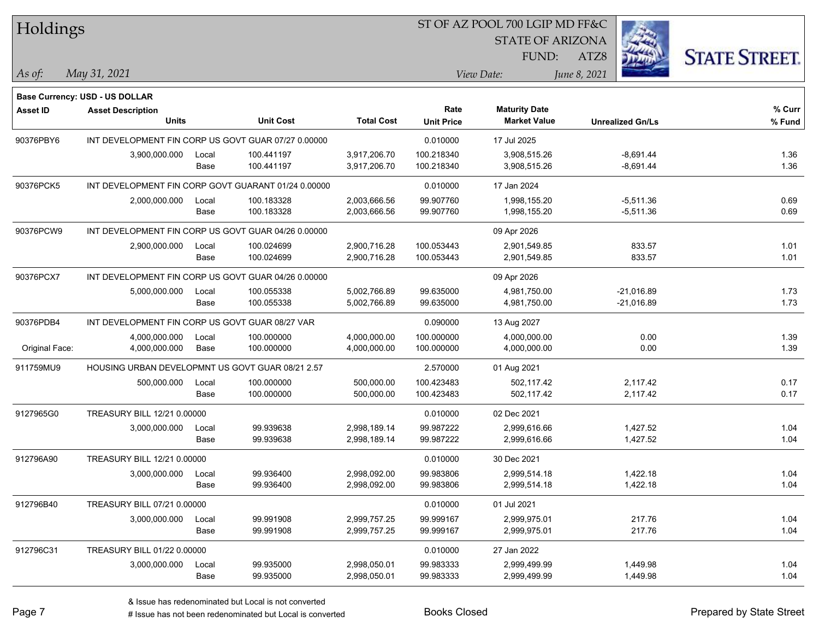| Holdings        |                                                                   |       |                                                     |                   |                   | ST OF AZ POOL 700 LGIP MD FF&C |                         |                      |
|-----------------|-------------------------------------------------------------------|-------|-----------------------------------------------------|-------------------|-------------------|--------------------------------|-------------------------|----------------------|
|                 |                                                                   |       |                                                     |                   |                   | <b>STATE OF ARIZONA</b>        |                         |                      |
|                 |                                                                   |       |                                                     |                   |                   | FUND:                          | ATZ8                    | <b>STATE STREET.</b> |
| As of:          | May 31, 2021                                                      |       |                                                     |                   |                   | View Date:                     | June 8, 2021            |                      |
|                 |                                                                   |       |                                                     |                   |                   |                                |                         |                      |
| <b>Asset ID</b> | <b>Base Currency: USD - US DOLLAR</b><br><b>Asset Description</b> |       |                                                     |                   | Rate              | <b>Maturity Date</b>           |                         | % Curr               |
|                 | <b>Units</b>                                                      |       | <b>Unit Cost</b>                                    | <b>Total Cost</b> | <b>Unit Price</b> | <b>Market Value</b>            | <b>Unrealized Gn/Ls</b> | % Fund               |
| 90376PBY6       |                                                                   |       | INT DEVELOPMENT FIN CORP US GOVT GUAR 07/27 0.00000 |                   | 0.010000          | 17 Jul 2025                    |                         |                      |
|                 | 3,900,000.000                                                     | Local | 100.441197                                          | 3,917,206.70      | 100.218340        | 3,908,515.26                   | $-8,691.44$             | 1.36                 |
|                 |                                                                   | Base  | 100.441197                                          | 3,917,206.70      | 100.218340        | 3,908,515.26                   | $-8,691.44$             | 1.36                 |
| 90376PCK5       |                                                                   |       | INT DEVELOPMENT FIN CORP GOVT GUARANT 01/24 0.00000 |                   | 0.010000          | 17 Jan 2024                    |                         |                      |
|                 | 2,000,000.000                                                     | Local | 100.183328                                          | 2,003,666.56      | 99.907760         | 1,998,155.20                   | $-5,511.36$             | 0.69                 |
|                 |                                                                   | Base  | 100.183328                                          | 2,003,666.56      | 99.907760         | 1,998,155.20                   | $-5,511.36$             | 0.69                 |
| 90376PCW9       |                                                                   |       | INT DEVELOPMENT FIN CORP US GOVT GUAR 04/26 0.00000 |                   |                   | 09 Apr 2026                    |                         |                      |
|                 | 2,900,000.000                                                     | Local | 100.024699                                          | 2,900,716.28      | 100.053443        | 2,901,549.85                   | 833.57                  | 1.01                 |
|                 |                                                                   | Base  | 100.024699                                          | 2,900,716.28      | 100.053443        | 2,901,549.85                   | 833.57                  | 1.01                 |
| 90376PCX7       |                                                                   |       | INT DEVELOPMENT FIN CORP US GOVT GUAR 04/26 0.00000 |                   |                   | 09 Apr 2026                    |                         |                      |
|                 | 5,000,000.000                                                     | Local | 100.055338                                          | 5,002,766.89      | 99.635000         | 4,981,750.00                   | $-21,016.89$            | 1.73                 |
|                 |                                                                   | Base  | 100.055338                                          | 5,002,766.89      | 99.635000         | 4,981,750.00                   | $-21,016.89$            | 1.73                 |
| 90376PDB4       | INT DEVELOPMENT FIN CORP US GOVT GUAR 08/27 VAR                   |       |                                                     |                   | 0.090000          | 13 Aug 2027                    |                         |                      |
|                 | 4,000,000.000                                                     | Local | 100.000000                                          | 4,000,000.00      | 100.000000        | 4,000,000.00                   | 0.00                    | 1.39                 |
| Original Face:  | 4,000,000.000                                                     | Base  | 100.000000                                          | 4,000,000.00      | 100.000000        | 4,000,000.00                   | 0.00                    | 1.39                 |
| 911759MU9       | HOUSING URBAN DEVELOPMNT US GOVT GUAR 08/21 2.57                  |       |                                                     |                   | 2.570000          | 01 Aug 2021                    |                         |                      |
|                 | 500,000.000                                                       | Local | 100.000000                                          | 500,000.00        | 100.423483        | 502,117.42                     | 2,117.42                | 0.17                 |
|                 |                                                                   | Base  | 100.000000                                          | 500,000.00        | 100.423483        | 502,117.42                     | 2,117.42                | 0.17                 |
| 9127965G0       | TREASURY BILL 12/21 0.00000                                       |       |                                                     |                   | 0.010000          | 02 Dec 2021                    |                         |                      |
|                 | 3,000,000.000                                                     | Local | 99.939638                                           | 2,998,189.14      | 99.987222         | 2,999,616.66                   | 1,427.52                | 1.04                 |
|                 |                                                                   | Base  | 99.939638                                           | 2,998,189.14      | 99.987222         | 2,999,616.66                   | 1,427.52                | 1.04                 |
| 912796A90       | TREASURY BILL 12/21 0.00000                                       |       |                                                     |                   | 0.010000          | 30 Dec 2021                    |                         |                      |
|                 | 3,000,000.000                                                     | Local | 99.936400                                           | 2,998,092.00      | 99.983806         | 2,999,514.18                   | 1,422.18                | 1.04                 |
|                 |                                                                   | Base  | 99.936400                                           | 2,998,092.00      | 99.983806         | 2,999,514.18                   | 1,422.18                | 1.04                 |
| 912796B40       | TREASURY BILL 07/21 0.00000                                       |       |                                                     |                   | 0.010000          | 01 Jul 2021                    |                         |                      |
|                 | 3,000,000.000                                                     | Local | 99.991908                                           | 2,999,757.25      | 99.999167         | 2,999,975.01                   | 217.76                  | 1.04                 |
|                 |                                                                   | Base  | 99.991908                                           | 2,999,757.25      | 99.999167         | 2,999,975.01                   | 217.76                  | 1.04                 |
| 912796C31       | TREASURY BILL 01/22 0.00000                                       |       |                                                     |                   | 0.010000          | 27 Jan 2022                    |                         |                      |
|                 | 3,000,000.000                                                     | Local | 99.935000                                           | 2,998,050.01      | 99.983333         | 2,999,499.99                   | 1,449.98                | 1.04                 |
|                 |                                                                   | Base  | 99.935000                                           | 2,998,050.01      | 99.983333         | 2,999,499.99                   | 1,449.98                | 1.04                 |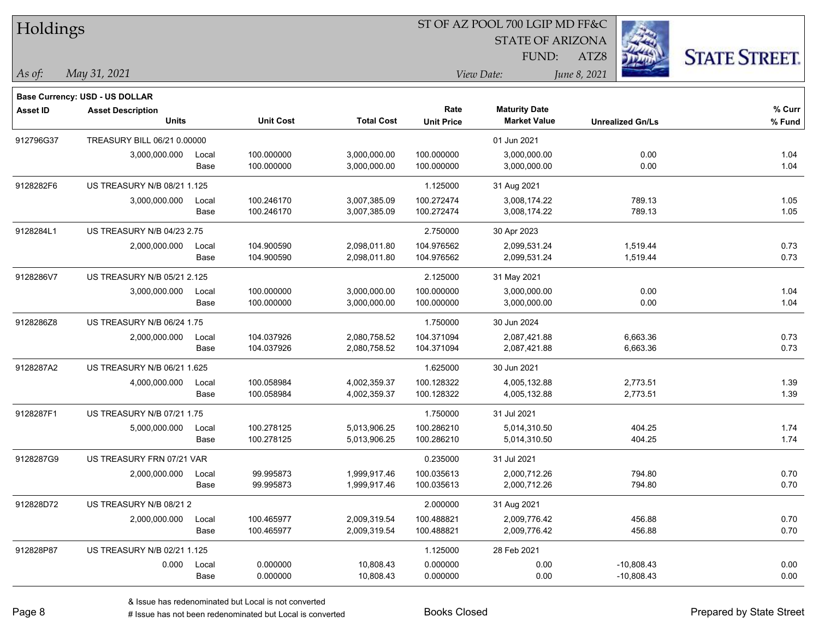| Holdings        |                                                            |       |                  |                   |                   | ST OF AZ POOL 700 LGIP MD FF&C |                         |                      |
|-----------------|------------------------------------------------------------|-------|------------------|-------------------|-------------------|--------------------------------|-------------------------|----------------------|
|                 |                                                            |       |                  |                   |                   | <b>STATE OF ARIZONA</b>        |                         |                      |
|                 |                                                            |       |                  |                   |                   | FUND:                          | ATZ8                    | <b>STATE STREET.</b> |
| $\vert$ As of:  | May 31, 2021                                               |       |                  |                   |                   | View Date:                     | June 8, 2021            |                      |
|                 |                                                            |       |                  |                   |                   |                                |                         |                      |
| <b>Asset ID</b> | Base Currency: USD - US DOLLAR<br><b>Asset Description</b> |       |                  |                   | Rate              | <b>Maturity Date</b>           |                         | $%$ Curr             |
|                 | <b>Units</b>                                               |       | <b>Unit Cost</b> | <b>Total Cost</b> | <b>Unit Price</b> | <b>Market Value</b>            | <b>Unrealized Gn/Ls</b> | % Fund               |
| 912796G37       | TREASURY BILL 06/21 0.00000                                |       |                  |                   |                   | 01 Jun 2021                    |                         |                      |
|                 | 3,000,000.000                                              | Local | 100.000000       | 3,000,000.00      | 100.000000        | 3,000,000.00                   | 0.00                    | 1.04                 |
|                 |                                                            | Base  | 100.000000       | 3,000,000.00      | 100.000000        | 3,000,000.00                   | 0.00                    | 1.04                 |
| 9128282F6       | US TREASURY N/B 08/21 1.125                                |       |                  |                   | 1.125000          | 31 Aug 2021                    |                         |                      |
|                 | 3,000,000.000                                              | Local | 100.246170       | 3,007,385.09      | 100.272474        | 3,008,174.22                   | 789.13                  | 1.05                 |
|                 |                                                            | Base  | 100.246170       | 3,007,385.09      | 100.272474        | 3,008,174.22                   | 789.13                  | 1.05                 |
| 9128284L1       | US TREASURY N/B 04/23 2.75                                 |       |                  |                   | 2.750000          | 30 Apr 2023                    |                         |                      |
|                 | 2,000,000.000                                              | Local | 104.900590       | 2,098,011.80      | 104.976562        | 2,099,531.24                   | 1,519.44                | 0.73                 |
|                 |                                                            | Base  | 104.900590       | 2,098,011.80      | 104.976562        | 2,099,531.24                   | 1,519.44                | 0.73                 |
| 9128286V7       | US TREASURY N/B 05/21 2.125                                |       |                  |                   | 2.125000          | 31 May 2021                    |                         |                      |
|                 | 3,000,000.000                                              | Local | 100.000000       | 3,000,000.00      | 100.000000        | 3,000,000.00                   | 0.00                    | 1.04                 |
|                 |                                                            | Base  | 100.000000       | 3,000,000.00      | 100.000000        | 3,000,000.00                   | 0.00                    | 1.04                 |
| 9128286Z8       | US TREASURY N/B 06/24 1.75                                 |       |                  |                   | 1.750000          | 30 Jun 2024                    |                         |                      |
|                 | 2,000,000.000                                              | Local | 104.037926       | 2,080,758.52      | 104.371094        | 2,087,421.88                   | 6,663.36                | 0.73                 |
|                 |                                                            | Base  | 104.037926       | 2,080,758.52      | 104.371094        | 2,087,421.88                   | 6,663.36                | 0.73                 |
| 9128287A2       | US TREASURY N/B 06/21 1.625                                |       |                  |                   | 1.625000          | 30 Jun 2021                    |                         |                      |
|                 | 4,000,000.000                                              | Local | 100.058984       | 4,002,359.37      | 100.128322        | 4,005,132.88                   | 2,773.51                | 1.39                 |
|                 |                                                            | Base  | 100.058984       | 4,002,359.37      | 100.128322        | 4,005,132.88                   | 2,773.51                | 1.39                 |
| 9128287F1       | US TREASURY N/B 07/21 1.75                                 |       |                  |                   | 1.750000          | 31 Jul 2021                    |                         |                      |
|                 | 5,000,000.000                                              | Local | 100.278125       | 5,013,906.25      | 100.286210        | 5,014,310.50                   | 404.25                  | 1.74                 |
|                 |                                                            | Base  | 100.278125       | 5,013,906.25      | 100.286210        | 5,014,310.50                   | 404.25                  | 1.74                 |
| 9128287G9       | US TREASURY FRN 07/21 VAR                                  |       |                  |                   | 0.235000          | 31 Jul 2021                    |                         |                      |
|                 | 2,000,000.000                                              | Local | 99.995873        | 1,999,917.46      | 100.035613        | 2,000,712.26                   | 794.80                  | 0.70                 |
|                 |                                                            | Base  | 99.995873        | 1,999,917.46      | 100.035613        | 2,000,712.26                   | 794.80                  | 0.70                 |
| 912828D72       | US TREASURY N/B 08/212                                     |       |                  |                   | 2.000000          | 31 Aug 2021                    |                         |                      |
|                 | 2,000,000.000                                              | Local | 100.465977       | 2,009,319.54      | 100.488821        | 2,009,776.42                   | 456.88                  | 0.70                 |
|                 |                                                            | Base  | 100.465977       | 2,009,319.54      | 100.488821        | 2,009,776.42                   | 456.88                  | 0.70                 |
| 912828P87       | US TREASURY N/B 02/21 1.125                                |       |                  |                   | 1.125000          | 28 Feb 2021                    |                         |                      |
|                 | 0.000                                                      | Local | 0.000000         | 10,808.43         | 0.000000          | 0.00                           | $-10,808.43$            | 0.00                 |
|                 |                                                            | Base  | 0.000000         | 10,808.43         | 0.000000          | 0.00                           | $-10,808.43$            | 0.00                 |

ST OF AZ POOL 700 LGIP MD FF&C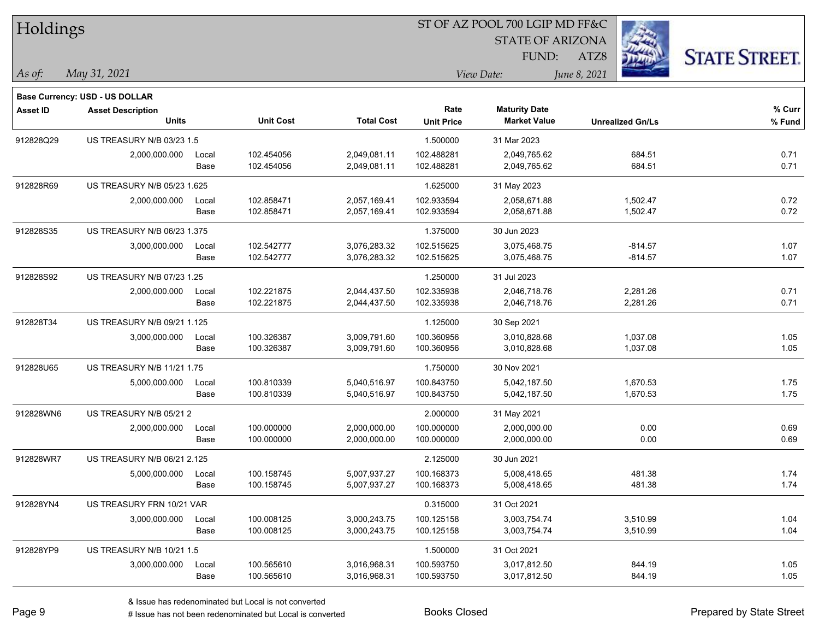| Holdings        |                                       |       |                  |                   |                   | ST OF AZ POOL 700 LGIP MD FF&C |                         |                      |
|-----------------|---------------------------------------|-------|------------------|-------------------|-------------------|--------------------------------|-------------------------|----------------------|
|                 |                                       |       |                  |                   |                   | <b>STATE OF ARIZONA</b>        |                         |                      |
|                 |                                       |       |                  |                   |                   | FUND:                          | ATZ8                    | <b>STATE STREET.</b> |
| $\vert$ As of:  | May 31, 2021                          |       |                  |                   |                   | View Date:                     | June 8, 2021            |                      |
|                 | <b>Base Currency: USD - US DOLLAR</b> |       |                  |                   |                   |                                |                         |                      |
| <b>Asset ID</b> | <b>Asset Description</b>              |       |                  |                   | Rate              | <b>Maturity Date</b>           |                         | % Curr               |
|                 | <b>Units</b>                          |       | <b>Unit Cost</b> | <b>Total Cost</b> | <b>Unit Price</b> | <b>Market Value</b>            | <b>Unrealized Gn/Ls</b> | % Fund               |
| 912828Q29       | <b>US TREASURY N/B 03/23 1.5</b>      |       |                  |                   | 1.500000          | 31 Mar 2023                    |                         |                      |
|                 | 2,000,000.000                         | Local | 102.454056       | 2,049,081.11      | 102.488281        | 2,049,765.62                   | 684.51                  | 0.71                 |
|                 |                                       | Base  | 102.454056       | 2,049,081.11      | 102.488281        | 2,049,765.62                   | 684.51                  | 0.71                 |
| 912828R69       | US TREASURY N/B 05/23 1.625           |       |                  |                   | 1.625000          | 31 May 2023                    |                         |                      |
|                 | 2,000,000.000                         | Local | 102.858471       | 2,057,169.41      | 102.933594        | 2,058,671.88                   | 1,502.47                | 0.72                 |
|                 |                                       | Base  | 102.858471       | 2,057,169.41      | 102.933594        | 2,058,671.88                   | 1,502.47                | 0.72                 |
| 912828S35       | US TREASURY N/B 06/23 1.375           |       |                  |                   | 1.375000          | 30 Jun 2023                    |                         |                      |
|                 | 3,000,000.000                         | Local | 102.542777       | 3,076,283.32      | 102.515625        | 3,075,468.75                   | $-814.57$               | 1.07                 |
|                 |                                       | Base  | 102.542777       | 3,076,283.32      | 102.515625        | 3,075,468.75                   | $-814.57$               | 1.07                 |
| 912828S92       | US TREASURY N/B 07/23 1.25            |       |                  |                   | 1.250000          | 31 Jul 2023                    |                         |                      |
|                 | 2,000,000.000                         | Local | 102.221875       | 2,044,437.50      | 102.335938        | 2,046,718.76                   | 2,281.26                | 0.71                 |
|                 |                                       | Base  | 102.221875       | 2,044,437.50      | 102.335938        | 2,046,718.76                   | 2,281.26                | 0.71                 |
| 912828T34       | US TREASURY N/B 09/21 1.125           |       |                  |                   | 1.125000          | 30 Sep 2021                    |                         |                      |
|                 | 3,000,000.000                         | Local | 100.326387       | 3,009,791.60      | 100.360956        | 3,010,828.68                   | 1,037.08                | 1.05                 |
|                 |                                       | Base  | 100.326387       | 3,009,791.60      | 100.360956        | 3,010,828.68                   | 1,037.08                | 1.05                 |
| 912828U65       | US TREASURY N/B 11/21 1.75            |       |                  |                   | 1.750000          | 30 Nov 2021                    |                         |                      |
|                 | 5,000,000.000                         | Local | 100.810339       | 5,040,516.97      | 100.843750        | 5,042,187.50                   | 1,670.53                | 1.75                 |
|                 |                                       | Base  | 100.810339       | 5,040,516.97      | 100.843750        | 5,042,187.50                   | 1,670.53                | 1.75                 |
| 912828WN6       | US TREASURY N/B 05/21 2               |       |                  |                   | 2.000000          | 31 May 2021                    |                         |                      |
|                 | 2,000,000.000                         | Local | 100.000000       | 2,000,000.00      | 100.000000        | 2,000,000.00                   | 0.00                    | 0.69                 |
|                 |                                       | Base  | 100.000000       | 2,000,000.00      | 100.000000        | 2,000,000.00                   | 0.00                    | 0.69                 |
| 912828WR7       | US TREASURY N/B 06/21 2.125           |       |                  |                   | 2.125000          | 30 Jun 2021                    |                         |                      |
|                 | 5,000,000.000                         | Local | 100.158745       | 5,007,937.27      | 100.168373        | 5,008,418.65                   | 481.38                  | 1.74                 |
|                 |                                       | Base  | 100.158745       | 5,007,937.27      | 100.168373        | 5,008,418.65                   | 481.38                  | 1.74                 |
| 912828YN4       | US TREASURY FRN 10/21 VAR             |       |                  |                   | 0.315000          | 31 Oct 2021                    |                         |                      |
|                 | 3,000,000.000                         | Local | 100.008125       | 3,000,243.75      | 100.125158        | 3,003,754.74                   | 3,510.99                | 1.04                 |
|                 |                                       | Base  | 100.008125       | 3,000,243.75      | 100.125158        | 3,003,754.74                   | 3,510.99                | 1.04                 |
| 912828YP9       | US TREASURY N/B 10/21 1.5             |       |                  |                   | 1.500000          | 31 Oct 2021                    |                         |                      |
|                 | 3,000,000.000                         | Local | 100.565610       | 3,016,968.31      | 100.593750        | 3,017,812.50                   | 844.19                  | 1.05                 |
|                 |                                       | Base  | 100.565610       | 3,016,968.31      | 100.593750        | 3,017,812.50                   | 844.19                  | 1.05                 |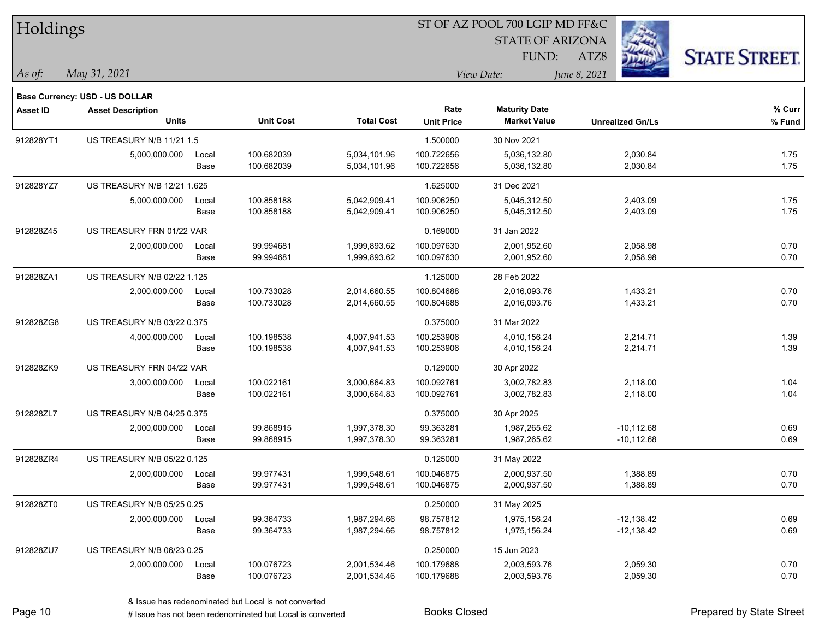| Holdings        |                                          |       |                  |                   |                           | ST OF AZ POOL 700 LGIP MD FF&C              |                         |                      |
|-----------------|------------------------------------------|-------|------------------|-------------------|---------------------------|---------------------------------------------|-------------------------|----------------------|
|                 |                                          |       |                  |                   |                           | <b>STATE OF ARIZONA</b>                     |                         |                      |
|                 |                                          |       |                  |                   |                           | FUND:                                       | ATZ8                    | <b>STATE STREET.</b> |
| $\vert$ As of:  | May 31, 2021                             |       |                  |                   |                           | View Date:                                  | June 8, 2021            |                      |
|                 |                                          |       |                  |                   |                           |                                             |                         |                      |
|                 | Base Currency: USD - US DOLLAR           |       |                  |                   |                           |                                             |                         |                      |
| <b>Asset ID</b> | <b>Asset Description</b><br><b>Units</b> |       | <b>Unit Cost</b> | <b>Total Cost</b> | Rate<br><b>Unit Price</b> | <b>Maturity Date</b><br><b>Market Value</b> | <b>Unrealized Gn/Ls</b> | % Curr<br>% Fund     |
| 912828YT1       | US TREASURY N/B 11/21 1.5                |       |                  |                   | 1.500000                  | 30 Nov 2021                                 |                         |                      |
|                 | 5,000,000.000                            | Local | 100.682039       | 5,034,101.96      | 100.722656                | 5,036,132.80                                | 2,030.84                | 1.75                 |
|                 |                                          | Base  | 100.682039       | 5,034,101.96      | 100.722656                | 5,036,132.80                                | 2,030.84                | 1.75                 |
| 912828YZ7       | US TREASURY N/B 12/21 1.625              |       |                  |                   | 1.625000                  | 31 Dec 2021                                 |                         |                      |
|                 | 5,000,000.000                            | Local | 100.858188       | 5,042,909.41      | 100.906250                | 5,045,312.50                                | 2,403.09                | 1.75                 |
|                 |                                          | Base  | 100.858188       | 5,042,909.41      | 100.906250                | 5,045,312.50                                | 2,403.09                | 1.75                 |
| 912828Z45       | US TREASURY FRN 01/22 VAR                |       |                  |                   | 0.169000                  | 31 Jan 2022                                 |                         |                      |
|                 | 2,000,000.000                            | Local | 99.994681        | 1,999,893.62      | 100.097630                | 2,001,952.60                                | 2,058.98                | 0.70                 |
|                 |                                          | Base  | 99.994681        | 1,999,893.62      | 100.097630                | 2,001,952.60                                | 2,058.98                | 0.70                 |
| 912828ZA1       | US TREASURY N/B 02/22 1.125              |       |                  |                   | 1.125000                  | 28 Feb 2022                                 |                         |                      |
|                 | 2,000,000.000                            | Local | 100.733028       | 2,014,660.55      | 100.804688                | 2,016,093.76                                | 1,433.21                | 0.70                 |
|                 |                                          | Base  | 100.733028       | 2,014,660.55      | 100.804688                | 2,016,093.76                                | 1,433.21                | 0.70                 |
| 912828ZG8       | US TREASURY N/B 03/22 0.375              |       |                  |                   | 0.375000                  | 31 Mar 2022                                 |                         |                      |
|                 | 4,000,000.000                            | Local | 100.198538       | 4,007,941.53      | 100.253906                | 4,010,156.24                                | 2,214.71                | 1.39                 |
|                 |                                          | Base  | 100.198538       | 4,007,941.53      | 100.253906                | 4,010,156.24                                | 2,214.71                | 1.39                 |
| 912828ZK9       | US TREASURY FRN 04/22 VAR                |       |                  |                   | 0.129000                  | 30 Apr 2022                                 |                         |                      |
|                 | 3,000,000.000                            | Local | 100.022161       | 3,000,664.83      | 100.092761                | 3,002,782.83                                | 2,118.00                | 1.04                 |
|                 |                                          | Base  | 100.022161       | 3,000,664.83      | 100.092761                | 3,002,782.83                                | 2,118.00                | 1.04                 |
| 912828ZL7       | US TREASURY N/B 04/25 0.375              |       |                  |                   | 0.375000                  | 30 Apr 2025                                 |                         |                      |
|                 | 2,000,000.000                            | Local | 99.868915        | 1,997,378.30      | 99.363281                 | 1,987,265.62                                | $-10, 112.68$           | 0.69                 |
|                 |                                          | Base  | 99.868915        | 1,997,378.30      | 99.363281                 | 1,987,265.62                                | $-10,112.68$            | 0.69                 |
| 912828ZR4       | US TREASURY N/B 05/22 0.125              |       |                  |                   | 0.125000                  | 31 May 2022                                 |                         |                      |
|                 | 2,000,000.000                            | Local | 99.977431        | 1,999,548.61      | 100.046875                | 2,000,937.50                                | 1,388.89                | 0.70                 |
|                 |                                          | Base  | 99.977431        | 1,999,548.61      | 100.046875                | 2,000,937.50                                | 1,388.89                | 0.70                 |
| 912828ZT0       | US TREASURY N/B 05/25 0.25               |       |                  |                   | 0.250000                  | 31 May 2025                                 |                         |                      |
|                 | 2,000,000.000                            | Local | 99.364733        | 1,987,294.66      | 98.757812                 | 1,975,156.24                                | $-12,138.42$            | 0.69                 |
|                 |                                          | Base  | 99.364733        | 1,987,294.66      | 98.757812                 | 1,975,156.24                                | $-12,138.42$            | 0.69                 |
| 912828ZU7       | US TREASURY N/B 06/23 0.25               |       |                  |                   | 0.250000                  | 15 Jun 2023                                 |                         |                      |
|                 | 2,000,000.000                            | Local | 100.076723       | 2,001,534.46      | 100.179688                | 2,003,593.76                                | 2,059.30                | 0.70                 |
|                 |                                          | Base  | 100.076723       | 2,001,534.46      | 100.179688                | 2,003,593.76                                | 2,059.30                | 0.70                 |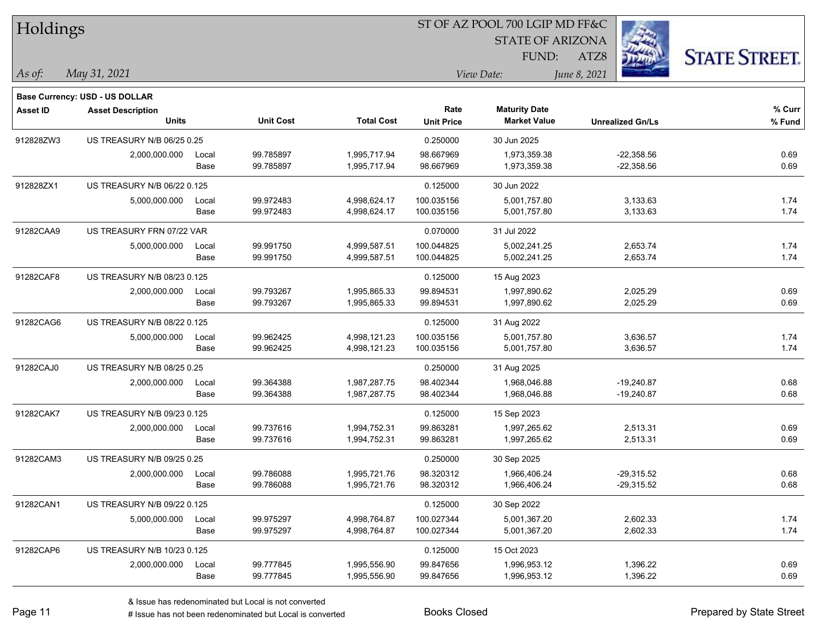| Holdings       |                                          |       |                  |                   | ST OF AZ POOL 700 LGIP MD FF&C |                                             |                         |                      |  |
|----------------|------------------------------------------|-------|------------------|-------------------|--------------------------------|---------------------------------------------|-------------------------|----------------------|--|
|                |                                          |       |                  |                   |                                | <b>STATE OF ARIZONA</b>                     |                         |                      |  |
|                |                                          |       |                  |                   |                                | FUND:                                       | ATZ8                    | <b>STATE STREET.</b> |  |
| $\vert$ As of: | May 31, 2021                             |       |                  |                   |                                | View Date:                                  | June 8, 2021            |                      |  |
|                |                                          |       |                  |                   |                                |                                             |                         |                      |  |
|                | Base Currency: USD - US DOLLAR           |       |                  |                   |                                |                                             |                         |                      |  |
| Asset ID       | <b>Asset Description</b><br><b>Units</b> |       | <b>Unit Cost</b> | <b>Total Cost</b> | Rate<br><b>Unit Price</b>      | <b>Maturity Date</b><br><b>Market Value</b> | <b>Unrealized Gn/Ls</b> | % Curr<br>% Fund     |  |
| 912828ZW3      | US TREASURY N/B 06/25 0.25               |       |                  |                   | 0.250000                       | 30 Jun 2025                                 |                         |                      |  |
|                | 2,000,000.000                            | Local | 99.785897        | 1,995,717.94      | 98.667969                      | 1,973,359.38                                | $-22,358.56$            | 0.69                 |  |
|                |                                          | Base  | 99.785897        | 1,995,717.94      | 98.667969                      | 1,973,359.38                                | $-22,358.56$            | 0.69                 |  |
| 912828ZX1      | US TREASURY N/B 06/22 0.125              |       |                  |                   | 0.125000                       | 30 Jun 2022                                 |                         |                      |  |
|                | 5,000,000.000                            | Local | 99.972483        | 4,998,624.17      | 100.035156                     | 5,001,757.80                                | 3,133.63                | 1.74                 |  |
|                |                                          | Base  | 99.972483        | 4,998,624.17      | 100.035156                     | 5,001,757.80                                | 3,133.63                | 1.74                 |  |
| 91282CAA9      | US TREASURY FRN 07/22 VAR                |       |                  |                   | 0.070000                       | 31 Jul 2022                                 |                         |                      |  |
|                | 5,000,000.000                            | Local | 99.991750        | 4,999,587.51      | 100.044825                     | 5,002,241.25                                | 2,653.74                | 1.74                 |  |
|                |                                          | Base  | 99.991750        | 4,999,587.51      | 100.044825                     | 5,002,241.25                                | 2,653.74                | 1.74                 |  |
| 91282CAF8      | US TREASURY N/B 08/23 0.125              |       |                  |                   | 0.125000                       | 15 Aug 2023                                 |                         |                      |  |
|                | 2,000,000.000                            | Local | 99.793267        | 1,995,865.33      | 99.894531                      | 1,997,890.62                                | 2,025.29                | 0.69                 |  |
|                |                                          | Base  | 99.793267        | 1,995,865.33      | 99.894531                      | 1,997,890.62                                | 2,025.29                | 0.69                 |  |
| 91282CAG6      | US TREASURY N/B 08/22 0.125              |       |                  |                   | 0.125000                       | 31 Aug 2022                                 |                         |                      |  |
|                | 5,000,000.000                            | Local | 99.962425        | 4,998,121.23      | 100.035156                     | 5,001,757.80                                | 3,636.57                | 1.74                 |  |
|                |                                          | Base  | 99.962425        | 4,998,121.23      | 100.035156                     | 5,001,757.80                                | 3,636.57                | 1.74                 |  |
| 91282CAJ0      | US TREASURY N/B 08/25 0.25               |       |                  |                   | 0.250000                       | 31 Aug 2025                                 |                         |                      |  |
|                | 2,000,000.000                            | Local | 99.364388        | 1,987,287.75      | 98.402344                      | 1,968,046.88                                | $-19,240.87$            | 0.68                 |  |
|                |                                          | Base  | 99.364388        | 1,987,287.75      | 98.402344                      | 1,968,046.88                                | $-19,240.87$            | 0.68                 |  |
| 91282CAK7      | US TREASURY N/B 09/23 0.125              |       |                  |                   | 0.125000                       | 15 Sep 2023                                 |                         |                      |  |
|                | 2,000,000.000                            | Local | 99.737616        | 1,994,752.31      | 99.863281                      | 1,997,265.62                                | 2,513.31                | 0.69                 |  |
|                |                                          | Base  | 99.737616        | 1,994,752.31      | 99.863281                      | 1,997,265.62                                | 2,513.31                | 0.69                 |  |
| 91282CAM3      | US TREASURY N/B 09/25 0.25               |       |                  |                   | 0.250000                       | 30 Sep 2025                                 |                         |                      |  |
|                | 2,000,000.000                            | Local | 99.786088        | 1,995,721.76      | 98.320312                      | 1,966,406.24                                | $-29,315.52$            | 0.68                 |  |
|                |                                          | Base  | 99.786088        | 1,995,721.76      | 98.320312                      | 1,966,406.24                                | $-29,315.52$            | 0.68                 |  |
| 91282CAN1      | US TREASURY N/B 09/22 0.125              |       |                  |                   | 0.125000                       | 30 Sep 2022                                 |                         |                      |  |
|                | 5,000,000.000                            | Local | 99.975297        | 4,998,764.87      | 100.027344                     | 5,001,367.20                                | 2,602.33                | 1.74                 |  |
|                |                                          | Base  | 99.975297        | 4,998,764.87      | 100.027344                     | 5,001,367.20                                | 2,602.33                | 1.74                 |  |
| 91282CAP6      | US TREASURY N/B 10/23 0.125              |       |                  |                   | 0.125000                       | 15 Oct 2023                                 |                         |                      |  |
|                | 2,000,000.000                            | Local | 99.777845        | 1,995,556.90      | 99.847656                      | 1,996,953.12                                | 1,396.22                | 0.69                 |  |
|                |                                          | Base  | 99.777845        | 1,995,556.90      | 99.847656                      | 1,996,953.12                                | 1,396.22                | 0.69                 |  |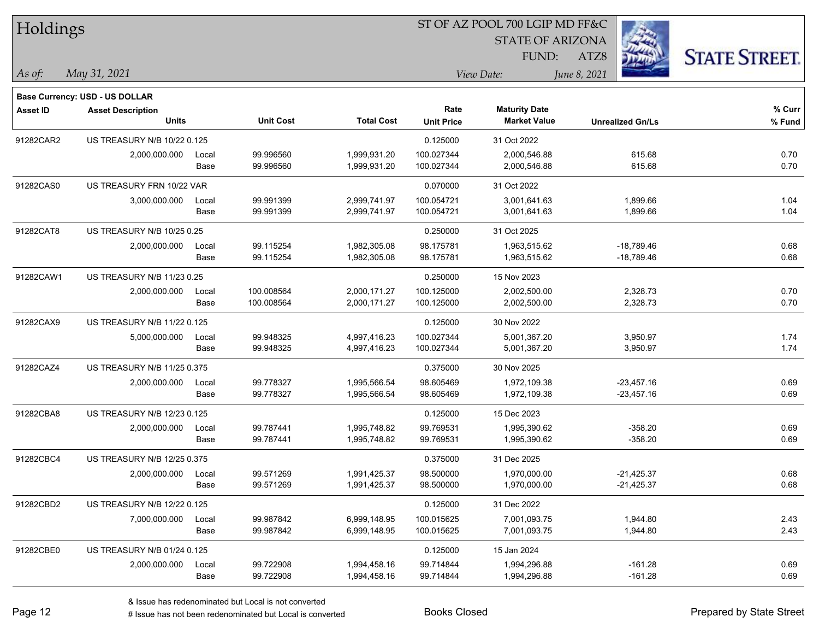| Holdings        |                                       |       |                  |                   |                   | ST OF AZ POOL 700 LGIP MD FF&C |                         |                      |  |
|-----------------|---------------------------------------|-------|------------------|-------------------|-------------------|--------------------------------|-------------------------|----------------------|--|
|                 |                                       |       |                  |                   |                   | <b>STATE OF ARIZONA</b>        |                         |                      |  |
|                 |                                       |       |                  |                   |                   | FUND:                          | ATZ8                    | <b>STATE STREET.</b> |  |
| As of:          | May 31, 2021                          |       |                  |                   |                   | View Date:                     | June 8, 2021            |                      |  |
|                 | <b>Base Currency: USD - US DOLLAR</b> |       |                  |                   |                   |                                |                         |                      |  |
| <b>Asset ID</b> | <b>Asset Description</b>              |       |                  |                   | Rate              | <b>Maturity Date</b>           |                         | % Curr               |  |
|                 | <b>Units</b>                          |       | <b>Unit Cost</b> | <b>Total Cost</b> | <b>Unit Price</b> | <b>Market Value</b>            | <b>Unrealized Gn/Ls</b> | % Fund               |  |
| 91282CAR2       | US TREASURY N/B 10/22 0.125           |       |                  |                   | 0.125000          | 31 Oct 2022                    |                         |                      |  |
|                 | 2,000,000.000                         | Local | 99.996560        | 1,999,931.20      | 100.027344        | 2,000,546.88                   | 615.68                  | 0.70                 |  |
|                 |                                       | Base  | 99.996560        | 1,999,931.20      | 100.027344        | 2,000,546.88                   | 615.68                  | 0.70                 |  |
| 91282CAS0       | US TREASURY FRN 10/22 VAR             |       |                  |                   | 0.070000          | 31 Oct 2022                    |                         |                      |  |
|                 | 3,000,000.000                         | Local | 99.991399        | 2,999,741.97      | 100.054721        | 3,001,641.63                   | 1,899.66                | 1.04                 |  |
|                 |                                       | Base  | 99.991399        | 2,999,741.97      | 100.054721        | 3,001,641.63                   | 1,899.66                | 1.04                 |  |
| 91282CAT8       | US TREASURY N/B 10/25 0.25            |       |                  |                   | 0.250000          | 31 Oct 2025                    |                         |                      |  |
|                 | 2,000,000.000                         | Local | 99.115254        | 1,982,305.08      | 98.175781         | 1,963,515.62                   | $-18,789.46$            | 0.68                 |  |
|                 |                                       | Base  | 99.115254        | 1,982,305.08      | 98.175781         | 1,963,515.62                   | $-18,789.46$            | 0.68                 |  |
| 91282CAW1       | US TREASURY N/B 11/23 0.25            |       |                  |                   | 0.250000          | 15 Nov 2023                    |                         |                      |  |
|                 | 2,000,000.000                         | Local | 100.008564       | 2,000,171.27      | 100.125000        | 2,002,500.00                   | 2,328.73                | 0.70                 |  |
|                 |                                       | Base  | 100.008564       | 2,000,171.27      | 100.125000        | 2,002,500.00                   | 2,328.73                | 0.70                 |  |
| 91282CAX9       | US TREASURY N/B 11/22 0.125           |       |                  |                   | 0.125000          | 30 Nov 2022                    |                         |                      |  |
|                 | 5,000,000.000                         | Local | 99.948325        | 4,997,416.23      | 100.027344        | 5,001,367.20                   | 3,950.97                | 1.74                 |  |
|                 |                                       | Base  | 99.948325        | 4,997,416.23      | 100.027344        | 5,001,367.20                   | 3,950.97                | 1.74                 |  |
| 91282CAZ4       | US TREASURY N/B 11/25 0.375           |       |                  |                   | 0.375000          | 30 Nov 2025                    |                         |                      |  |
|                 | 2,000,000.000                         | Local | 99.778327        | 1,995,566.54      | 98.605469         | 1,972,109.38                   | $-23,457.16$            | 0.69                 |  |
|                 |                                       | Base  | 99.778327        | 1,995,566.54      | 98.605469         | 1,972,109.38                   | $-23,457.16$            | 0.69                 |  |
| 91282CBA8       | US TREASURY N/B 12/23 0.125           |       |                  |                   | 0.125000          | 15 Dec 2023                    |                         |                      |  |
|                 | 2,000,000.000                         | Local | 99.787441        | 1,995,748.82      | 99.769531         | 1,995,390.62                   | $-358.20$               | 0.69                 |  |
|                 |                                       | Base  | 99.787441        | 1,995,748.82      | 99.769531         | 1,995,390.62                   | $-358.20$               | 0.69                 |  |
| 91282CBC4       | US TREASURY N/B 12/25 0.375           |       |                  |                   | 0.375000          | 31 Dec 2025                    |                         |                      |  |
|                 | 2,000,000.000                         | Local | 99.571269        | 1,991,425.37      | 98.500000         | 1,970,000.00                   | $-21,425.37$            | 0.68                 |  |
|                 |                                       | Base  | 99.571269        | 1,991,425.37      | 98.500000         | 1,970,000.00                   | $-21,425.37$            | 0.68                 |  |
| 91282CBD2       | US TREASURY N/B 12/22 0.125           |       |                  |                   | 0.125000          | 31 Dec 2022                    |                         |                      |  |
|                 | 7,000,000.000                         | Local | 99.987842        | 6,999,148.95      | 100.015625        | 7,001,093.75                   | 1,944.80                | 2.43                 |  |
|                 |                                       | Base  | 99.987842        | 6,999,148.95      | 100.015625        | 7,001,093.75                   | 1,944.80                | 2.43                 |  |
| 91282CBE0       | US TREASURY N/B 01/24 0.125           |       |                  |                   | 0.125000          | 15 Jan 2024                    |                         |                      |  |
|                 | 2,000,000.000                         | Local | 99.722908        | 1,994,458.16      | 99.714844         | 1,994,296.88                   | $-161.28$               | 0.69                 |  |
|                 |                                       | Base  | 99.722908        | 1,994,458.16      | 99.714844         | 1,994,296.88                   | $-161.28$               | 0.69                 |  |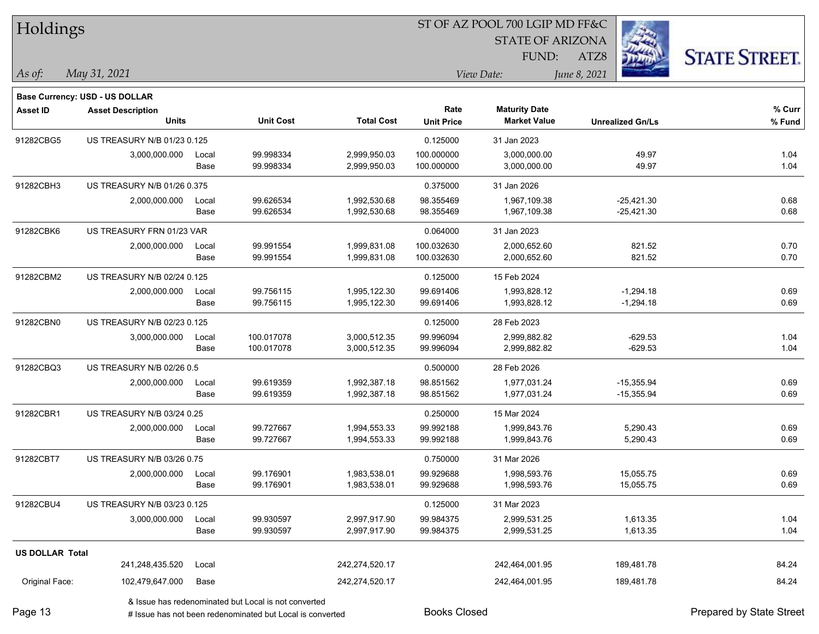| Holdings               |                                          |       |                                                      |                   | 51 OF AZ POOL 700 LGIP MD FF&C |                                             |                         |                      |  |  |
|------------------------|------------------------------------------|-------|------------------------------------------------------|-------------------|--------------------------------|---------------------------------------------|-------------------------|----------------------|--|--|
|                        |                                          |       |                                                      |                   |                                | <b>STATE OF ARIZONA</b>                     | $\mathbb{Z}$            |                      |  |  |
|                        |                                          |       |                                                      |                   |                                | FUND:                                       | ATZ8                    | <b>STATE STREET.</b> |  |  |
| As of:                 | May 31, 2021                             |       |                                                      |                   |                                | View Date:                                  | June 8, 2021            |                      |  |  |
|                        | <b>Base Currency: USD - US DOLLAR</b>    |       |                                                      |                   |                                |                                             |                         |                      |  |  |
| <b>Asset ID</b>        | <b>Asset Description</b><br><b>Units</b> |       | <b>Unit Cost</b>                                     | <b>Total Cost</b> | Rate<br><b>Unit Price</b>      | <b>Maturity Date</b><br><b>Market Value</b> | <b>Unrealized Gn/Ls</b> | % Curr<br>% Fund     |  |  |
| 91282CBG5              | US TREASURY N/B 01/23 0.125              |       |                                                      |                   | 0.125000                       | 31 Jan 2023                                 |                         |                      |  |  |
|                        | 3,000,000.000                            | Local | 99.998334                                            | 2,999,950.03      | 100.000000                     | 3,000,000.00                                | 49.97                   | 1.04                 |  |  |
|                        |                                          | Base  | 99.998334                                            | 2,999,950.03      | 100.000000                     | 3,000,000.00                                | 49.97                   | 1.04                 |  |  |
| 91282CBH3              | US TREASURY N/B 01/26 0.375              |       |                                                      |                   | 0.375000                       | 31 Jan 2026                                 |                         |                      |  |  |
|                        | 2,000,000.000                            | Local | 99.626534                                            | 1,992,530.68      | 98.355469                      | 1,967,109.38                                | $-25,421.30$            | 0.68                 |  |  |
|                        |                                          | Base  | 99.626534                                            | 1,992,530.68      | 98.355469                      | 1,967,109.38                                | $-25,421.30$            | 0.68                 |  |  |
| 91282CBK6              | US TREASURY FRN 01/23 VAR                |       |                                                      |                   | 0.064000                       | 31 Jan 2023                                 |                         |                      |  |  |
|                        | 2,000,000.000                            | Local | 99.991554                                            | 1,999,831.08      | 100.032630                     | 2,000,652.60                                | 821.52                  | 0.70                 |  |  |
|                        |                                          | Base  | 99.991554                                            | 1,999,831.08      | 100.032630                     | 2,000,652.60                                | 821.52                  | 0.70                 |  |  |
| 91282CBM2              | US TREASURY N/B 02/24 0.125              |       |                                                      |                   | 0.125000                       | 15 Feb 2024                                 |                         |                      |  |  |
|                        | 2,000,000.000                            | Local | 99.756115                                            | 1,995,122.30      | 99.691406                      | 1,993,828.12                                | $-1,294.18$             | 0.69                 |  |  |
|                        |                                          | Base  | 99.756115                                            | 1,995,122.30      | 99.691406                      | 1,993,828.12                                | $-1,294.18$             | 0.69                 |  |  |
| 91282CBN0              | US TREASURY N/B 02/23 0.125              |       |                                                      |                   | 0.125000                       | 28 Feb 2023                                 |                         |                      |  |  |
|                        | 3,000,000.000                            | Local | 100.017078                                           | 3,000,512.35      | 99.996094                      | 2,999,882.82                                | $-629.53$               | 1.04                 |  |  |
|                        |                                          | Base  | 100.017078                                           | 3,000,512.35      | 99.996094                      | 2,999,882.82                                | $-629.53$               | 1.04                 |  |  |
| 91282CBQ3              | US TREASURY N/B 02/26 0.5                |       |                                                      |                   | 0.500000                       | 28 Feb 2026                                 |                         |                      |  |  |
|                        | 2,000,000.000                            | Local | 99.619359                                            | 1,992,387.18      | 98.851562                      | 1,977,031.24                                | $-15,355.94$            | 0.69                 |  |  |
|                        |                                          | Base  | 99.619359                                            | 1,992,387.18      | 98.851562                      | 1,977,031.24                                | $-15,355.94$            | 0.69                 |  |  |
| 91282CBR1              | US TREASURY N/B 03/24 0.25               |       |                                                      |                   | 0.250000                       | 15 Mar 2024                                 |                         |                      |  |  |
|                        | 2,000,000.000                            | Local | 99.727667                                            | 1,994,553.33      | 99.992188                      | 1,999,843.76                                | 5,290.43                | 0.69                 |  |  |
|                        |                                          | Base  | 99.727667                                            | 1,994,553.33      | 99.992188                      | 1,999,843.76                                | 5,290.43                | 0.69                 |  |  |
| 91282CBT7              | US TREASURY N/B 03/26 0.75               |       |                                                      |                   | 0.750000                       | 31 Mar 2026                                 |                         |                      |  |  |
|                        | 2,000,000.000                            | Local | 99.176901                                            | 1,983,538.01      | 99.929688                      | 1,998,593.76                                | 15,055.75               | 0.69                 |  |  |
|                        |                                          | Base  | 99.176901                                            | 1,983,538.01      | 99.929688                      | 1,998,593.76                                | 15,055.75               | 0.69                 |  |  |
| 91282CBU4              | US TREASURY N/B 03/23 0.125              |       |                                                      |                   | 0.125000                       | 31 Mar 2023                                 |                         |                      |  |  |
|                        | 3,000,000.000                            | Local | 99.930597                                            | 2,997,917.90      | 99.984375                      | 2,999,531.25                                | 1,613.35                | 1.04                 |  |  |
|                        |                                          | Base  | 99.930597                                            | 2,997,917.90      | 99.984375                      | 2,999,531.25                                | 1,613.35                | 1.04                 |  |  |
| <b>US DOLLAR Total</b> |                                          |       |                                                      |                   |                                |                                             |                         |                      |  |  |
|                        | 241,248,435.520                          | Local |                                                      | 242,274,520.17    |                                | 242,464,001.95                              | 189,481.78              | 84.24                |  |  |
| Original Face:         | 102,479,647.000                          | Base  |                                                      | 242,274,520.17    |                                | 242,464,001.95                              | 189,481.78              | 84.24                |  |  |
|                        |                                          |       | & Issue has redenominated but Local is not converted |                   |                                |                                             |                         |                      |  |  |

 $\overline{\text{ST OF} \cdot \text{SPOOL} \cdot \text{FQO} \cdot \text{FQD} \cdot \text{FQD}}$ 

Page 13

# Issue has not been redenominated but Local is converted Books Closed Prepared by State Street

٦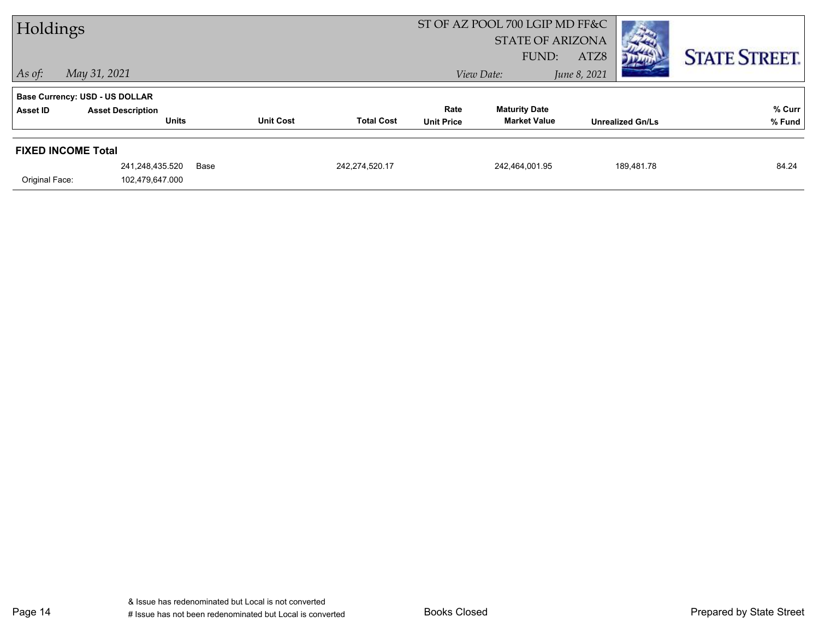| Holdings                  |                                                                   |                  |                   |                   | ST OF AZ POOL 700 LGIP MD FF&C<br><b>STATE OF ARIZONA</b> |                         |                      |
|---------------------------|-------------------------------------------------------------------|------------------|-------------------|-------------------|-----------------------------------------------------------|-------------------------|----------------------|
| $ $ As of:                | May 31, 2021                                                      |                  |                   |                   | FUND:<br>View Date:                                       | ATZ8<br>June 8, 2021    | <b>STATE STREET.</b> |
| Asset ID                  | <b>Base Currency: USD - US DOLLAR</b><br><b>Asset Description</b> |                  |                   | Rate              | <b>Maturity Date</b>                                      |                         | % Curr               |
|                           | <b>Units</b>                                                      | <b>Unit Cost</b> | <b>Total Cost</b> | <b>Unit Price</b> | <b>Market Value</b>                                       | <b>Unrealized Gn/Ls</b> | % Fund               |
| <b>FIXED INCOME Total</b> |                                                                   |                  |                   |                   |                                                           |                         |                      |
|                           | 241,248,435.520                                                   | Base             | 242,274,520.17    |                   | 242,464,001.95                                            | 189,481.78              | 84.24                |
| Original Face:            | 102,479,647.000                                                   |                  |                   |                   |                                                           |                         |                      |

Page 14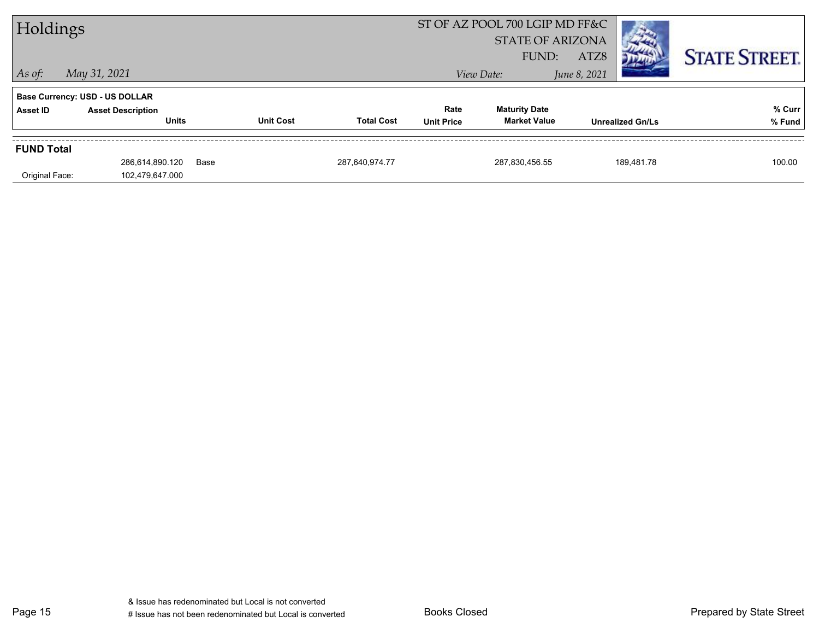| Holdings          |                                       |      |                  | ST OF AZ POOL 700 LGIP MD FF&C<br><b>STATE OF ARIZONA</b> |                   |                      |              |                         |                      |
|-------------------|---------------------------------------|------|------------------|-----------------------------------------------------------|-------------------|----------------------|--------------|-------------------------|----------------------|
|                   |                                       |      |                  |                                                           |                   | FUND:                | ATZ8         |                         | <b>STATE STREET.</b> |
| $\vert$ As of:    | May 31, 2021                          |      |                  |                                                           |                   | View Date:           | June 8, 2021 |                         |                      |
|                   | <b>Base Currency: USD - US DOLLAR</b> |      |                  |                                                           |                   |                      |              |                         |                      |
| <b>Asset ID</b>   | <b>Asset Description</b>              |      |                  |                                                           | Rate              | <b>Maturity Date</b> |              |                         | % Curr               |
|                   | <b>Units</b>                          |      | <b>Unit Cost</b> | <b>Total Cost</b>                                         | <b>Unit Price</b> | <b>Market Value</b>  |              | <b>Unrealized Gn/Ls</b> | % Fund               |
| <b>FUND Total</b> |                                       |      |                  |                                                           |                   |                      |              |                         |                      |
|                   | 286,614,890.120                       | Base |                  | 287,640,974.77                                            |                   | 287,830,456.55       |              | 189,481.78              | 100.00               |
| Original Face:    | 102,479,647.000                       |      |                  |                                                           |                   |                      |              |                         |                      |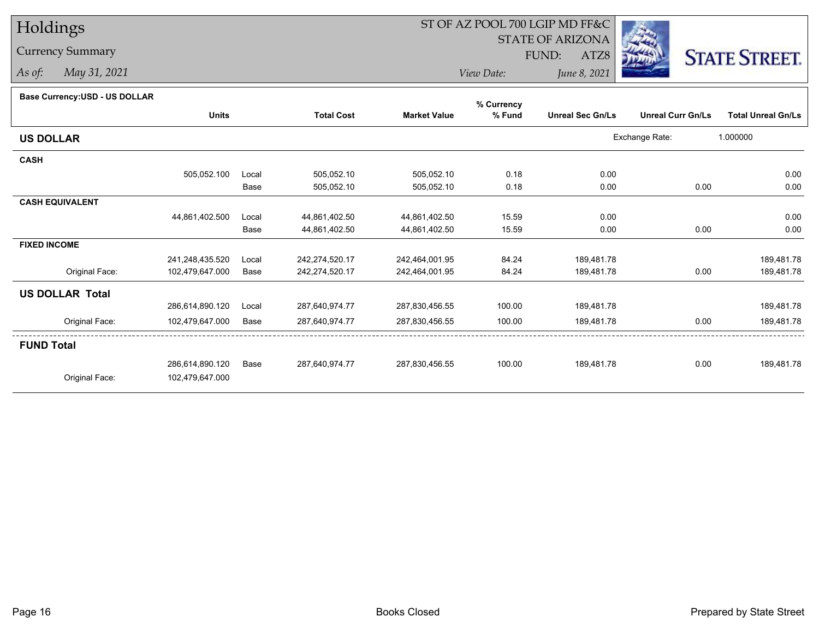Currency Summary

*As of: May 31, 2021*

## ST OF AZ POOL 700 LGIP MD FF&C

STATE OF ARIZONA

FUND:

ATZ8



*View Date:June 8, 2021*

| Base Currency: USD - US DOLLAR |  |
|--------------------------------|--|
|--------------------------------|--|

|                        |                 |       |                   |                     | % Currency |                         |                          |                           |
|------------------------|-----------------|-------|-------------------|---------------------|------------|-------------------------|--------------------------|---------------------------|
|                        | <b>Units</b>    |       | <b>Total Cost</b> | <b>Market Value</b> | % Fund     | <b>Unreal Sec Gn/Ls</b> | <b>Unreal Curr Gn/Ls</b> | <b>Total Unreal Gn/Ls</b> |
| <b>US DOLLAR</b>       |                 |       |                   |                     |            |                         | Exchange Rate:           | 1.000000                  |
| <b>CASH</b>            |                 |       |                   |                     |            |                         |                          |                           |
|                        | 505,052.100     | Local | 505,052.10        | 505,052.10          | 0.18       | 0.00                    |                          | 0.00                      |
|                        |                 | Base  | 505,052.10        | 505,052.10          | 0.18       | 0.00                    | 0.00                     | 0.00                      |
| <b>CASH EQUIVALENT</b> |                 |       |                   |                     |            |                         |                          |                           |
|                        | 44,861,402.500  | Local | 44,861,402.50     | 44,861,402.50       | 15.59      | 0.00                    |                          | 0.00                      |
|                        |                 | Base  | 44,861,402.50     | 44,861,402.50       | 15.59      | 0.00                    | 0.00                     | 0.00                      |
| <b>FIXED INCOME</b>    |                 |       |                   |                     |            |                         |                          |                           |
|                        | 241,248,435.520 | Local | 242,274,520.17    | 242,464,001.95      | 84.24      | 189,481.78              |                          | 189,481.78                |
| Original Face:         | 102,479,647.000 | Base  | 242,274,520.17    | 242,464,001.95      | 84.24      | 189,481.78              | 0.00                     | 189,481.78                |
| <b>US DOLLAR Total</b> |                 |       |                   |                     |            |                         |                          |                           |
|                        | 286,614,890.120 | Local | 287,640,974.77    | 287,830,456.55      | 100.00     | 189,481.78              |                          | 189,481.78                |
| Original Face:         | 102,479,647.000 | Base  | 287,640,974.77    | 287,830,456.55      | 100.00     | 189,481.78              | 0.00                     | 189,481.78                |
| <b>FUND Total</b>      |                 |       |                   |                     |            |                         |                          |                           |
|                        | 286,614,890.120 | Base  | 287,640,974.77    | 287,830,456.55      | 100.00     | 189,481.78              | 0.00                     | 189,481.78                |
| Original Face:         | 102,479,647.000 |       |                   |                     |            |                         |                          |                           |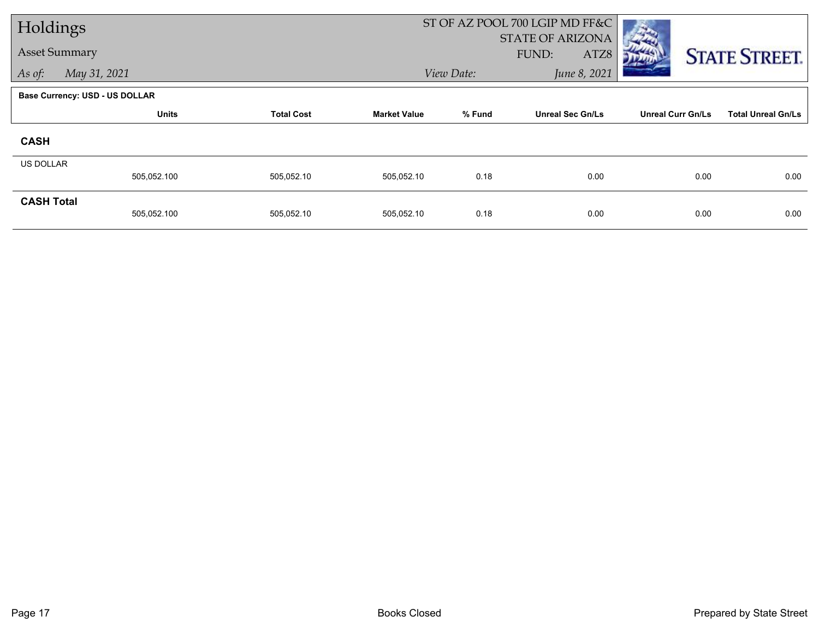| Holdings          |                                       |                   |                     |            | ST OF AZ POOL 700 LGIP MD FF&C           |                          |                           |
|-------------------|---------------------------------------|-------------------|---------------------|------------|------------------------------------------|--------------------------|---------------------------|
|                   | <b>Asset Summary</b>                  |                   |                     |            | <b>STATE OF ARIZONA</b><br>FUND:<br>ATZ8 |                          |                           |
| As of:            | May 31, 2021                          |                   |                     | View Date: | June 8, 2021                             |                          | <b>STATE STREET.</b>      |
|                   |                                       |                   |                     |            |                                          |                          |                           |
|                   | <b>Base Currency: USD - US DOLLAR</b> |                   |                     |            |                                          |                          |                           |
|                   | <b>Units</b>                          | <b>Total Cost</b> | <b>Market Value</b> | % Fund     | <b>Unreal Sec Gn/Ls</b>                  | <b>Unreal Curr Gn/Ls</b> | <b>Total Unreal Gn/Ls</b> |
| <b>CASH</b>       |                                       |                   |                     |            |                                          |                          |                           |
| <b>US DOLLAR</b>  |                                       |                   |                     |            |                                          |                          |                           |
|                   | 505,052.100                           | 505,052.10        | 505,052.10          | 0.18       | 0.00                                     | 0.00                     | 0.00                      |
| <b>CASH Total</b> |                                       |                   |                     |            |                                          |                          |                           |
|                   | 505,052.100                           | 505,052.10        | 505,052.10          | 0.18       | 0.00                                     | 0.00                     | 0.00                      |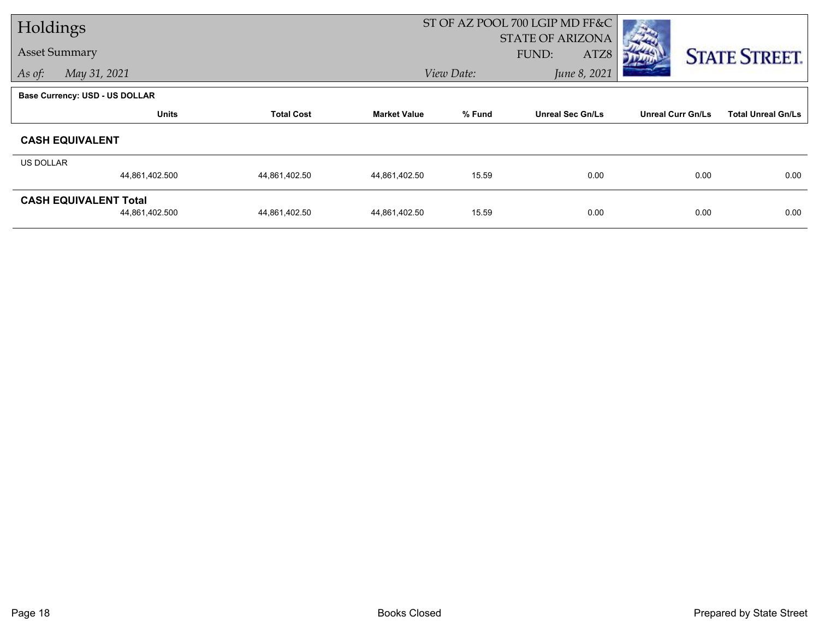| Holdings                       |                   |                     |            | ST OF AZ POOL 700 LGIP MD FF&C |                          |                           |
|--------------------------------|-------------------|---------------------|------------|--------------------------------|--------------------------|---------------------------|
|                                |                   |                     |            | <b>STATE OF ARIZONA</b>        |                          |                           |
| <b>Asset Summary</b>           |                   |                     |            | FUND:<br>ATZ8                  |                          | <b>STATE STREET.</b>      |
| As of:<br>May 31, 2021         |                   |                     | View Date: | June 8, 2021                   |                          |                           |
| Base Currency: USD - US DOLLAR |                   |                     |            |                                |                          |                           |
| <b>Units</b>                   | <b>Total Cost</b> | <b>Market Value</b> | % Fund     | <b>Unreal Sec Gn/Ls</b>        | <b>Unreal Curr Gn/Ls</b> | <b>Total Unreal Gn/Ls</b> |
| <b>CASH EQUIVALENT</b>         |                   |                     |            |                                |                          |                           |
| <b>US DOLLAR</b>               |                   |                     |            |                                |                          |                           |
| 44,861,402.500                 | 44,861,402.50     | 44,861,402.50       | 15.59      | 0.00                           | 0.00                     | 0.00                      |
| <b>CASH EQUIVALENT Total</b>   |                   |                     |            |                                |                          |                           |
| 44,861,402.500                 | 44,861,402.50     | 44,861,402.50       | 15.59      | 0.00                           | 0.00                     | 0.00                      |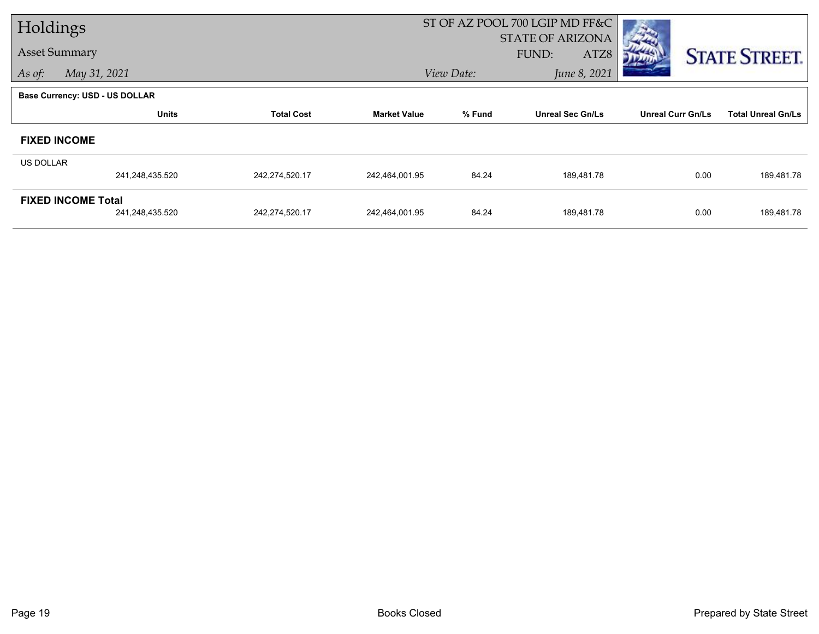| Holdings  |                                       |                   |                     |            | ST OF AZ POOL 700 LGIP MD FF&C |                          |                           |
|-----------|---------------------------------------|-------------------|---------------------|------------|--------------------------------|--------------------------|---------------------------|
|           |                                       |                   |                     |            | <b>STATE OF ARIZONA</b>        |                          |                           |
|           | <b>Asset Summary</b>                  |                   |                     |            | FUND:<br>ATZ8                  |                          | <b>STATE STREET.</b>      |
| As of:    | May 31, 2021                          |                   |                     | View Date: | June 8, 2021                   |                          |                           |
|           | <b>Base Currency: USD - US DOLLAR</b> |                   |                     |            |                                |                          |                           |
|           | <b>Units</b>                          | <b>Total Cost</b> | <b>Market Value</b> | % Fund     | <b>Unreal Sec Gn/Ls</b>        | <b>Unreal Curr Gn/Ls</b> | <b>Total Unreal Gn/Ls</b> |
|           | <b>FIXED INCOME</b>                   |                   |                     |            |                                |                          |                           |
| US DOLLAR |                                       |                   |                     |            |                                |                          |                           |
|           | 241,248,435.520                       | 242,274,520.17    | 242,464,001.95      | 84.24      | 189,481.78                     | 0.00                     | 189,481.78                |
|           | <b>FIXED INCOME Total</b>             |                   |                     |            |                                |                          |                           |
|           | 241,248,435.520                       | 242,274,520.17    | 242,464,001.95      | 84.24      | 189,481.78                     | 0.00                     | 189,481.78                |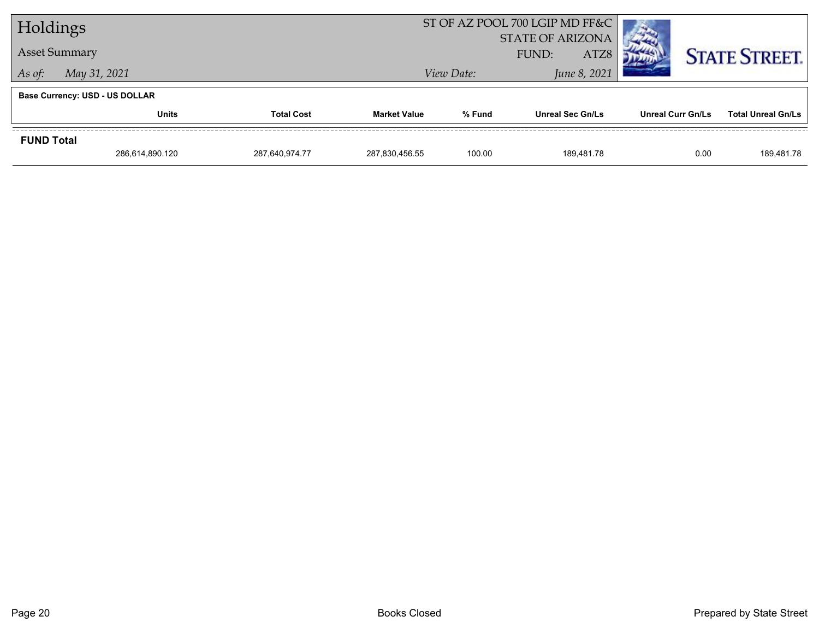| Holdings          |                                       |                   |                     |            | ST OF AZ POOL 700 LGIP MD FF&C |                   |                           |
|-------------------|---------------------------------------|-------------------|---------------------|------------|--------------------------------|-------------------|---------------------------|
|                   |                                       |                   |                     |            | <b>STATE OF ARIZONA</b>        |                   |                           |
|                   | <b>Asset Summary</b>                  |                   |                     |            | ATZ8<br><b>FUND:</b>           |                   | <b>STATE STREET.</b>      |
| As of:            | May 31, 2021                          |                   |                     | View Date: | June 8, 2021                   |                   |                           |
|                   | <b>Base Currency: USD - US DOLLAR</b> |                   |                     |            |                                |                   |                           |
|                   | <b>Units</b>                          | <b>Total Cost</b> | <b>Market Value</b> | % Fund     | <b>Unreal Sec Gn/Ls</b>        | Unreal Curr Gn/Ls | <b>Total Unreal Gn/Ls</b> |
| <b>FUND Total</b> |                                       |                   |                     |            |                                |                   |                           |
|                   | 286,614,890.120                       | 287.640.974.77    | 287,830,456.55      | 100.00     | 189.481.78                     | 0.00              | 189,481.78                |